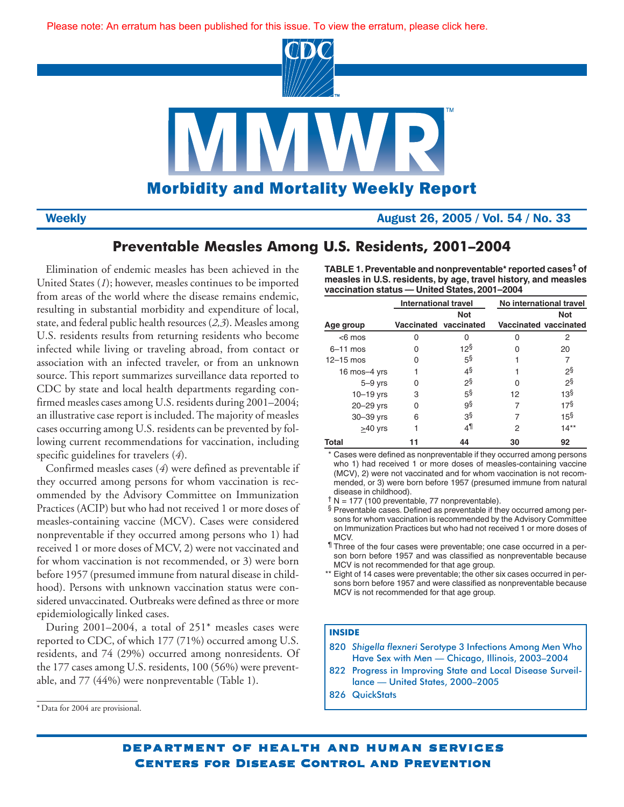[Please note: An erratum has been published for this issue. To view the erratum, please click here.](http://www.cdc.gov/mmwr/pdf/wk/mm5435.pdf)



**Weekly Weekly Weekly August 26, 2005 / Vol. 54 / No. 33** 

# **Preventable Measles Among U.S. Residents, 2001–2004**

Elimination of endemic measles has been achieved in the United States (*1*); however, measles continues to be imported from areas of the world where the disease remains endemic, resulting in substantial morbidity and expenditure of local, state, and federal public health resources (*2,3*). Measles among U.S. residents results from returning residents who become infected while living or traveling abroad, from contact or association with an infected traveler, or from an unknown source. This report summarizes surveillance data reported to CDC by state and local health departments regarding confirmed measles cases among U.S. residents during 2001–2004; an illustrative case report is included. The majority of measles cases occurring among U.S. residents can be prevented by following current recommendations for vaccination, including specific guidelines for travelers (*4*).

Confirmed measles cases (*4*) were defined as preventable if they occurred among persons for whom vaccination is recommended by the Advisory Committee on Immunization Practices (ACIP) but who had not received 1 or more doses of measles-containing vaccine (MCV). Cases were considered nonpreventable if they occurred among persons who 1) had received 1 or more doses of MCV, 2) were not vaccinated and for whom vaccination is not recommended, or 3) were born before 1957 (presumed immune from natural disease in childhood). Persons with unknown vaccination status were considered unvaccinated. Outbreaks were defined as three or more epidemiologically linked cases.

During 2001–2004, a total of 251\* measles cases were reported to CDC, of which 177 (71%) occurred among U.S. residents, and 74 (29%) occurred among nonresidents. Of the 177 cases among U.S. residents, 100 (56%) were preventable, and 77 (44%) were nonpreventable (Table 1).

**TABLE 1. Preventable and nonpreventable\* reported cases† of measles in U.S. residents, by age, travel history, and measles vaccination status — United States, 2001–2004**

|              | <b>International travel</b> |                       | No international travel |                       |  |  |
|--------------|-----------------------------|-----------------------|-------------------------|-----------------------|--|--|
|              | <b>Not</b>                  |                       |                         | <b>Not</b>            |  |  |
| Age group    |                             | Vaccinated vaccinated |                         | Vaccinated vaccinated |  |  |
| $<$ 6 mos    | O                           | O                     | O                       | 2                     |  |  |
| $6-11$ mos   | Ω                           | 12 <sup>§</sup>       | O                       | 20                    |  |  |
| $12-15$ mos  | O                           | 5 <sup>§</sup>        |                         |                       |  |  |
| 16 mos-4 yrs |                             | 4§                    |                         | 2ş                    |  |  |
| $5-9$ yrs    | 0                           | 2§                    | O                       | 2§                    |  |  |
| $10-19$ yrs  | 3                           | 5 <sup>§</sup>        | 12                      | 13 <sup>§</sup>       |  |  |
| 20-29 yrs    | U                           | 9§                    | 7                       | 17 <sup>§</sup>       |  |  |
| 30-39 yrs    | 6                           | З§                    |                         | 15 <sup>§</sup>       |  |  |
| $>40$ yrs    |                             | 41                    | 2                       | $14**$                |  |  |
| Total        |                             | 44                    | 30                      | 92                    |  |  |

\* Cases were defined as nonpreventable if they occurred among persons who 1) had received 1 or more doses of measles-containing vaccine (MCV), 2) were not vaccinated and for whom vaccination is not recommended, or 3) were born before 1957 (presumed immune from natural disease in childhood).

 $\dagger$  N = 177 (100 preventable, 77 nonpreventable).

§ Preventable cases. Defined as preventable if they occurred among persons for whom vaccination is recommended by the Advisory Committee on Immunization Practices but who had not received 1 or more doses of MCV.

¶ Three of the four cases were preventable; one case occurred in a person born before 1957 and was classified as nonpreventable because MCV is not recommended for that age group.

\*\* Eight of 14 cases were preventable; the other six cases occurred in persons born before 1957 and were classified as nonpreventable because MCV is not recommended for that age group.

# **INSIDE**

- 820 *Shigella flexneri* Serotype 3 Infections Among Men Who [Have Sex with Men — Chicago, Illinois, 2003–2004](#page-3-0)
- [822 Progress in Improving State and Local Disease Surveil](#page-5-0)lance — United States, 2000–2005
- [826 QuickStats](#page-9-0)

<sup>\*</sup> Data for 2004 are provisional.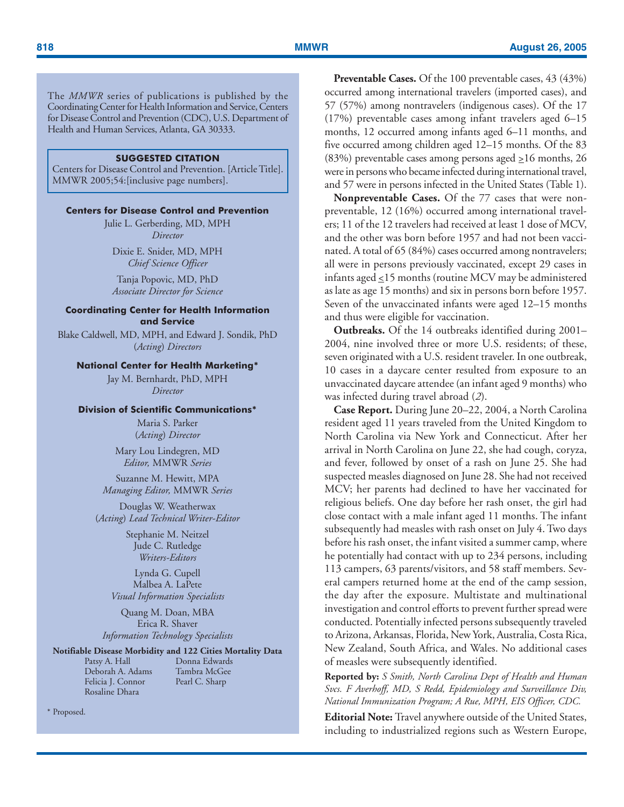The *MMWR* series of publications is published by the Coordinating Center for Health Information and Service, Centers for Disease Control and Prevention (CDC), U.S. Department of Health and Human Services, Atlanta, GA 30333.

# **SUGGESTED CITATION**

Centers for Disease Control and Prevention. [Article Title]. MMWR 2005;54:[inclusive page numbers].

## **Centers for Disease Control and Prevention**

Julie L. Gerberding, MD, MPH *Director*

Dixie E. Snider, MD, MPH *Chief Science Officer*

Tanja Popovic, MD, PhD *Associate Director for Science*

# **Coordinating Center for Health Information and Service**

Blake Caldwell, MD, MPH, and Edward J. Sondik, PhD (*Acting*) *Directors*

### **National Center for Health Marketing\***

Jay M. Bernhardt, PhD, MPH *Director*

### **Division of Scientific Communications\***

Maria S. Parker (*Acting*) *Director*

Mary Lou Lindegren, MD *Editor,* MMWR *Series*

Suzanne M. Hewitt, MPA *Managing Editor,* MMWR *Series*

Douglas W. Weatherwax (*Acting*) *Lead Technical Writer-Editor*

> Stephanie M. Neitzel Jude C. Rutledge *Writers-Editors*

Lynda G. Cupell Malbea A. LaPete *Visual Information Specialists*

Quang M. Doan, MBA Erica R. Shaver *Information Technology Specialists*

# **Notifiable Disease Morbidity and 122 Cities Mortality Data**

Patsy A. Hall Donna Edwards<br>Deborah A. Adams Tambra McGee Deborah A. Adams Tambra McGe<br>Felicia J. Connor Pearl C. Sharp Felicia J. Connor Rosaline Dhara

Preventable Cases. Of the 100 preventable cases, 43 (43%) occurred among international travelers (imported cases), and 57 (57%) among nontravelers (indigenous cases). Of the 17 (17%) preventable cases among infant travelers aged 6–15 months, 12 occurred among infants aged 6–11 months, and five occurred among children aged 12–15 months. Of the 83 (83%) preventable cases among persons aged  $\geq 16$  months, 26 were in persons who became infected during international travel, and 57 were in persons infected in the United States (Table 1).

**Nonpreventable Cases.** Of the 77 cases that were nonpreventable, 12 (16%) occurred among international travelers; 11 of the 12 travelers had received at least 1 dose of MCV, and the other was born before 1957 and had not been vaccinated. A total of 65 (84%) cases occurred among nontravelers; all were in persons previously vaccinated, except 29 cases in infants aged  $\leq$ 15 months (routine MCV may be administered as late as age 15 months) and six in persons born before 1957. Seven of the unvaccinated infants were aged 12–15 months and thus were eligible for vaccination.

**Outbreaks.** Of the 14 outbreaks identified during 2001– 2004, nine involved three or more U.S. residents; of these, seven originated with a U.S. resident traveler. In one outbreak, 10 cases in a daycare center resulted from exposure to an unvaccinated daycare attendee (an infant aged 9 months) who was infected during travel abroad (*2*).

**Case Report.** During June 20–22, 2004, a North Carolina resident aged 11 years traveled from the United Kingdom to North Carolina via New York and Connecticut. After her arrival in North Carolina on June 22, she had cough, coryza, and fever, followed by onset of a rash on June 25. She had suspected measles diagnosed on June 28. She had not received MCV; her parents had declined to have her vaccinated for religious beliefs. One day before her rash onset, the girl had close contact with a male infant aged 11 months. The infant subsequently had measles with rash onset on July 4. Two days before his rash onset, the infant visited a summer camp, where he potentially had contact with up to 234 persons, including 113 campers, 63 parents/visitors, and 58 staff members. Several campers returned home at the end of the camp session, the day after the exposure. Multistate and multinational investigation and control efforts to prevent further spread were conducted. Potentially infected persons subsequently traveled to Arizona, Arkansas, Florida, New York, Australia, Costa Rica, New Zealand, South Africa, and Wales. No additional cases of measles were subsequently identified.

**Reported by:** *S Smith, North Carolina Dept of Health and Human Svcs. F Averhoff, MD, S Redd, Epidemiology and Surveillance Div, National Immunization Program; A Rue, MPH, EIS Officer, CDC.*

**Editorial Note:** Travel anywhere outside of the United States, including to industrialized regions such as Western Europe,

\* Proposed.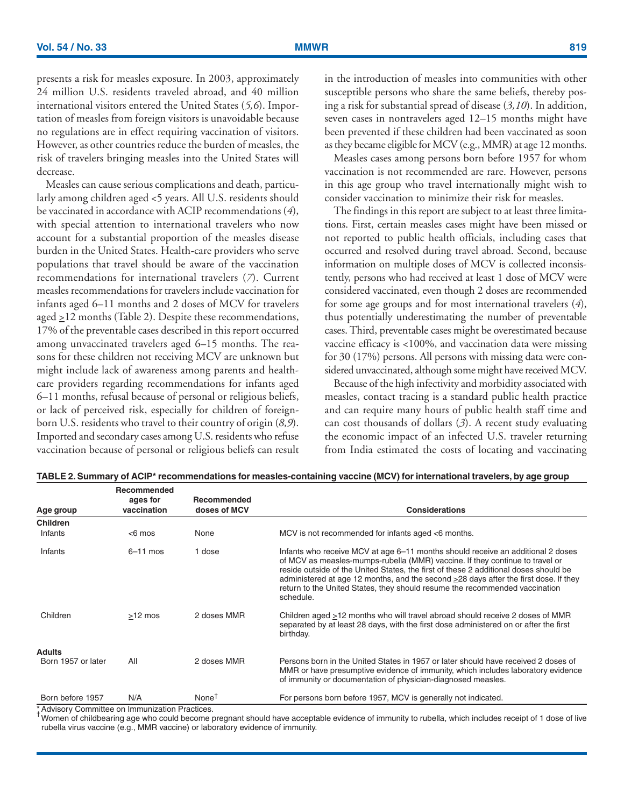presents a risk for measles exposure. In 2003, approximately 24 million U.S. residents traveled abroad, and 40 million international visitors entered the United States (*5,6*). Importation of measles from foreign visitors is unavoidable because no regulations are in effect requiring vaccination of visitors. However, as other countries reduce the burden of measles, the risk of travelers bringing measles into the United States will decrease.

Measles can cause serious complications and death, particularly among children aged <5 years. All U.S. residents should be vaccinated in accordance with ACIP recommendations (*4*), with special attention to international travelers who now account for a substantial proportion of the measles disease burden in the United States. Health-care providers who serve populations that travel should be aware of the vaccination recommendations for international travelers (*7*). Current measles recommendations for travelers include vaccination for infants aged 6–11 months and 2 doses of MCV for travelers aged  $\geq$ 12 months (Table 2). Despite these recommendations, 17% of the preventable cases described in this report occurred among unvaccinated travelers aged 6–15 months. The reasons for these children not receiving MCV are unknown but might include lack of awareness among parents and healthcare providers regarding recommendations for infants aged 6–11 months, refusal because of personal or religious beliefs, or lack of perceived risk, especially for children of foreignborn U.S. residents who travel to their country of origin (*8,9*). Imported and secondary cases among U.S. residents who refuse vaccination because of personal or religious beliefs can result in the introduction of measles into communities with other susceptible persons who share the same beliefs, thereby posing a risk for substantial spread of disease (*3,10*). In addition, seven cases in nontravelers aged 12–15 months might have been prevented if these children had been vaccinated as soon as they became eligible for MCV (e.g., MMR) at age 12 months.

Measles cases among persons born before 1957 for whom vaccination is not recommended are rare. However, persons in this age group who travel internationally might wish to consider vaccination to minimize their risk for measles.

The findings in this report are subject to at least three limitations. First, certain measles cases might have been missed or not reported to public health officials, including cases that occurred and resolved during travel abroad. Second, because information on multiple doses of MCV is collected inconsistently, persons who had received at least 1 dose of MCV were considered vaccinated, even though 2 doses are recommended for some age groups and for most international travelers (*4*), thus potentially underestimating the number of preventable cases. Third, preventable cases might be overestimated because vaccine efficacy is <100%, and vaccination data were missing for 30 (17%) persons. All persons with missing data were considered unvaccinated, although some might have received MCV.

Because of the high infectivity and morbidity associated with measles, contact tracing is a standard public health practice and can require many hours of public health staff time and can cost thousands of dollars (*3*). A recent study evaluating the economic impact of an infected U.S. traveler returning from India estimated the costs of locating and vaccinating

| Age group          | Recommended<br>ages for<br>vaccination | Recommended<br>doses of MCV | <b>Considerations</b>                                                                                                                                                                                                                                                                                                                                                                                                                             |
|--------------------|----------------------------------------|-----------------------------|---------------------------------------------------------------------------------------------------------------------------------------------------------------------------------------------------------------------------------------------------------------------------------------------------------------------------------------------------------------------------------------------------------------------------------------------------|
| <b>Children</b>    |                                        |                             |                                                                                                                                                                                                                                                                                                                                                                                                                                                   |
| Infants            | $<$ 6 mos                              | None                        | MCV is not recommended for infants aged <6 months.                                                                                                                                                                                                                                                                                                                                                                                                |
| Infants            | $6 - 11$ mos                           | 1 dose                      | Infants who receive MCV at age 6–11 months should receive an additional 2 doses<br>of MCV as measles-mumps-rubella (MMR) vaccine. If they continue to travel or<br>reside outside of the United States, the first of these 2 additional doses should be<br>administered at age 12 months, and the second $\geq$ 28 days after the first dose. If they<br>return to the United States, they should resume the recommended vaccination<br>schedule. |
| Children           | $>12$ mos                              | 2 doses MMR                 | Children aged >12 months who will travel abroad should receive 2 doses of MMR<br>separated by at least 28 days, with the first dose administered on or after the first<br>birthday.                                                                                                                                                                                                                                                               |
| <b>Adults</b>      |                                        |                             |                                                                                                                                                                                                                                                                                                                                                                                                                                                   |
| Born 1957 or later | All                                    | 2 doses MMR                 | Persons born in the United States in 1957 or later should have received 2 doses of<br>MMR or have presumptive evidence of immunity, which includes laboratory evidence<br>of immunity or documentation of physician-diagnosed measles.                                                                                                                                                                                                            |
| Born before 1957   | N/A                                    | None <sup>†</sup>           | For persons born before 1957, MCV is generally not indicated.                                                                                                                                                                                                                                                                                                                                                                                     |

|  | TABLE 2. Summary of ACIP* recommendations for measles-containing vaccine (MCV) for international travelers, by age group |  |  |  |
|--|--------------------------------------------------------------------------------------------------------------------------|--|--|--|
|--|--------------------------------------------------------------------------------------------------------------------------|--|--|--|

Advisory Committee on Immunization Practices.

Women of childbearing age who could become pregnant should have acceptable evidence of immunity to rubella, which includes receipt of 1 dose of live rubella virus vaccine (e.g., MMR vaccine) or laboratory evidence of immunity.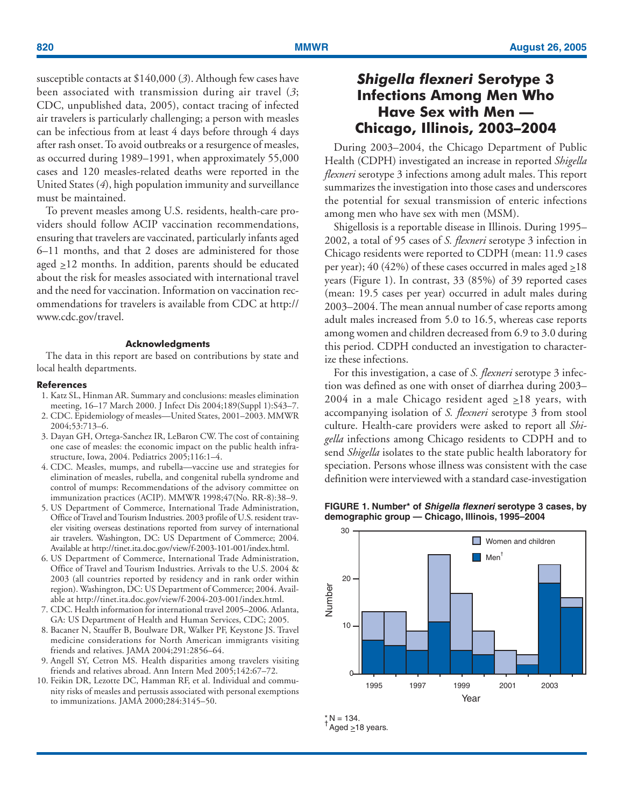<span id="page-3-0"></span>susceptible contacts at \$140,000 (*3*). Although few cases have been associated with transmission during air travel (*3*; CDC, unpublished data, 2005), contact tracing of infected air travelers is particularly challenging; a person with measles can be infectious from at least 4 days before through 4 days after rash onset. To avoid outbreaks or a resurgence of measles, as occurred during 1989–1991, when approximately 55,000 cases and 120 measles-related deaths were reported in the United States (*4*), high population immunity and surveillance must be maintained.

To prevent measles among U.S. residents, health-care providers should follow ACIP vaccination recommendations, ensuring that travelers are vaccinated, particularly infants aged 6–11 months, and that 2 doses are administered for those aged  $\geq$ 12 months. In addition, parents should be educated about the risk for measles associated with international travel and the need for vaccination. Information on vaccination recommendations for travelers is available from CDC a[t http://](http://www.cdc.gov/travel) [www.cdc.gov/travel.](http://www.cdc.gov/travel)

### **Acknowledgments**

The data in this report are based on contributions by state and local health departments.

### **References**

- 1. Katz SL, Hinman AR. Summary and conclusions: measles elimination meeting, 16–17 March 2000. J Infect Dis 2004;189(Suppl 1):S43–7.
- 2. CDC. Epidemiology of measles—United States, 2001–2003. MMWR 2004;53:713–6.
- 3. Dayan GH, Ortega-Sanchez IR, LeBaron CW. The cost of containing one case of measles: the economic impact on the public health infrastructure, Iowa, 2004. Pediatrics 2005;116:1–4.
- 4. CDC. Measles, mumps, and rubella—vaccine use and strategies for elimination of measles, rubella, and congenital rubella syndrome and control of mumps: Recommendations of the advisory committee on immunization practices (ACIP). MMWR 1998;47(No. RR-8):38–9.
- 5. US Department of Commerce, International Trade Administration, Office of Travel and Tourism Industries. 2003 profile of U.S. resident traveler visiting overseas destinations reported from survey of international air travelers. Washington, DC: US Department of Commerce; 2004. Available a[t http://tinet.ita.doc.gov/view/f-2003-101-001/index.html.](http://tinet.ita.doc.gov/view/f-2003-101-001/index.html)
- 6. US Department of Commerce, International Trade Administration, Office of Travel and Tourism Industries. Arrivals to the U.S. 2004 & 2003 (all countries reported by residency and in rank order within region). Washington, DC: US Department of Commerce; 2004. Available a[t http://tinet.ita.doc.gov/view/f-2004-203-001/index.html.](http://tinet.ita.doc.gov/view/f-2004-203-001/index.html)
- 7. CDC. Health information for international travel 2005–2006. Atlanta, GA: US Department of Health and Human Services, CDC; 2005.
- 8. Bacaner N, Stauffer B, Boulware DR, Walker PF, Keystone JS. Travel medicine considerations for North American immigrants visiting friends and relatives. JAMA 2004;291:2856–64.
- 9. Angell SY, Cetron MS. Health disparities among travelers visiting friends and relatives abroad. Ann Intern Med 2005;142:67–72.
- 10. Feikin DR, Lezotte DC, Hamman RF, et al. Individual and community risks of measles and pertussis associated with personal exemptions to immunizations. JAMA 2000;284:3145–50.

# *Shigella flexneri* **Serotype 3 Infections Among Men Who Have Sex with Men — Chicago, Illinois, 2003–2004**

During 2003–2004, the Chicago Department of Public Health (CDPH) investigated an increase in reported *Shigella flexneri* serotype 3 infections among adult males. This report summarizes the investigation into those cases and underscores the potential for sexual transmission of enteric infections among men who have sex with men (MSM).

Shigellosis is a reportable disease in Illinois. During 1995– 2002, a total of 95 cases of *S. flexneri* serotype 3 infection in Chicago residents were reported to CDPH (mean: 11.9 cases per year); 40 (42%) of these cases occurred in males aged  $\geq$ 18 years (Figure 1). In contrast, 33 (85%) of 39 reported cases (mean: 19.5 cases per year) occurred in adult males during 2003–2004. The mean annual number of case reports among adult males increased from 5.0 to 16.5, whereas case reports among women and children decreased from 6.9 to 3.0 during this period. CDPH conducted an investigation to characterize these infections.

For this investigation, a case of *S. flexneri* serotype 3 infection was defined as one with onset of diarrhea during 2003– 2004 in a male Chicago resident aged  $\geq$ 18 years, with accompanying isolation of *S. flexneri* serotype 3 from stool culture. Health-care providers were asked to report all *Shigella* infections among Chicago residents to CDPH and to send *Shigella* isolates to the state public health laboratory for speciation. Persons whose illness was consistent with the case definition were interviewed with a standard case-investigation





 $*$  N = 134.  $^{\dagger}$ Aged  $\geq$ 18 years.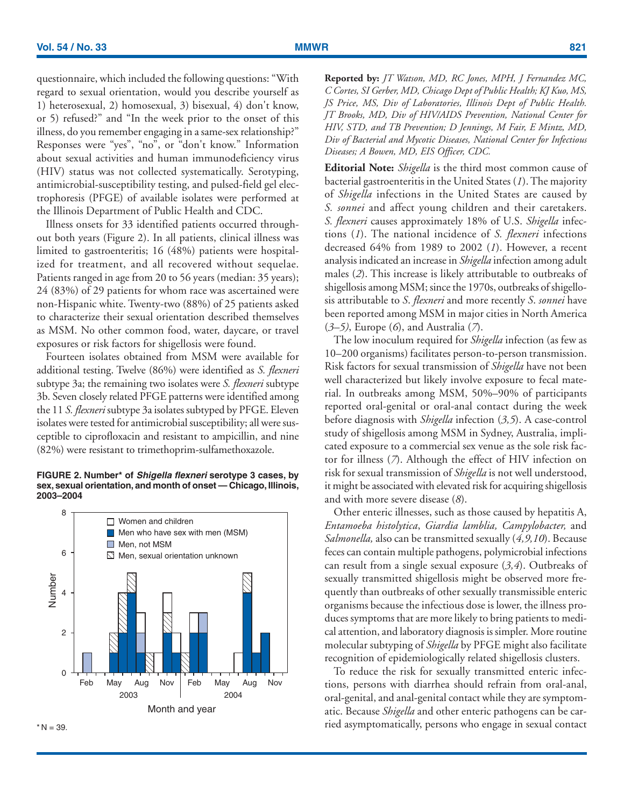questionnaire, which included the following questions: "With regard to sexual orientation, would you describe yourself as 1) heterosexual, 2) homosexual, 3) bisexual, 4) don't know, or 5) refused?" and "In the week prior to the onset of this illness, do you remember engaging in a same-sex relationship?" Responses were "yes", "no", or "don't know." Information about sexual activities and human immunodeficiency virus (HIV) status was not collected systematically. Serotyping, antimicrobial-susceptibility testing, and pulsed-field gel electrophoresis (PFGE) of available isolates were performed at the Illinois Department of Public Health and CDC.

Illness onsets for 33 identified patients occurred throughout both years (Figure 2). In all patients, clinical illness was limited to gastroenteritis; 16 (48%) patients were hospitalized for treatment, and all recovered without sequelae. Patients ranged in age from 20 to 56 years (median: 35 years); 24 (83%) of 29 patients for whom race was ascertained were non-Hispanic white. Twenty-two (88%) of 25 patients asked to characterize their sexual orientation described themselves as MSM. No other common food, water, daycare, or travel exposures or risk factors for shigellosis were found.

Fourteen isolates obtained from MSM were available for additional testing. Twelve (86%) were identified as *S. flexneri* subtype 3a; the remaining two isolates were *S. flexneri* subtype 3b. Seven closely related PFGE patterns were identified among the 11 *S. flexneri* subtype 3a isolates subtyped by PFGE. Eleven isolates were tested for antimicrobial susceptibility; all were susceptible to ciprofloxacin and resistant to ampicillin, and nine (82%) were resistant to trimethoprim-sulfamethoxazole.

## **FIGURE 2. Number\* of Shigella flexneri serotype 3 cases, by sex, sexual orientation, and month of onset — Chicago, Illinois, 2003–2004**





**Reported by:** *JT Watson, MD, RC Jones, MPH, J Fernandez MC, C Cortes, SI Gerber, MD, Chicago Dept of Public Health; KJ Kuo, MS, JS Price, MS, Div of Laboratories, Illinois Dept of Public Health. JT Brooks, MD, Div of HIV/AIDS Prevention, National Center for HIV, STD, and TB Prevention; D Jennings, M Fair, E Mintz, MD, Div of Bacterial and Mycotic Diseases, National Center for Infectious Diseases; A Bowen, MD, EIS Officer, CDC.*

**Editorial Note:** *Shigella* is the third most common cause of bacterial gastroenteritis in the United States (*1*). The majority of *Shigella* infections in the United States are caused by *S. sonnei* and affect young children and their caretakers. *S. flexneri* causes approximately 18% of U.S. *Shigella* infections (*1*). The national incidence of *S. flexneri* infections decreased 64% from 1989 to 2002 (*1*). However, a recent analysis indicated an increase in *Shigella* infection among adult males (*2*). This increase is likely attributable to outbreaks of shigellosis among MSM; since the 1970s, outbreaks of shigellosis attributable to *S*. *flexneri* and more recently *S*. *sonnei* have been reported among MSM in major cities in North America (*3–5)*, Europe (*6*), and Australia (*7*).

The low inoculum required for *Shigella* infection (as few as 10–200 organisms) facilitates person-to-person transmission. Risk factors for sexual transmission of *Shigella* have not been well characterized but likely involve exposure to fecal material. In outbreaks among MSM, 50%–90% of participants reported oral-genital or oral-anal contact during the week before diagnosis with *Shigella* infection (*3,5*). A case-control study of shigellosis among MSM in Sydney, Australia, implicated exposure to a commercial sex venue as the sole risk factor for illness (*7*). Although the effect of HIV infection on risk for sexual transmission of *Shigella* is not well understood, it might be associated with elevated risk for acquiring shigellosis and with more severe disease (*8*).

Other enteric illnesses, such as those caused by hepatitis A, *Entamoeba histolytica*, *Giardia lamblia, Campylobacter,* and *Salmonella,* also can be transmitted sexually (*4,9,10*). Because feces can contain multiple pathogens, polymicrobial infections can result from a single sexual exposure (*3,4*). Outbreaks of sexually transmitted shigellosis might be observed more frequently than outbreaks of other sexually transmissible enteric organisms because the infectious dose is lower, the illness produces symptoms that are more likely to bring patients to medical attention, and laboratory diagnosis is simpler. More routine molecular subtyping of *Shigella* by PFGE might also facilitate recognition of epidemiologically related shigellosis clusters.

To reduce the risk for sexually transmitted enteric infections, persons with diarrhea should refrain from oral-anal, oral-genital, and anal-genital contact while they are symptomatic. Because *Shigella* and other enteric pathogens can be carried asymptomatically, persons who engage in sexual contact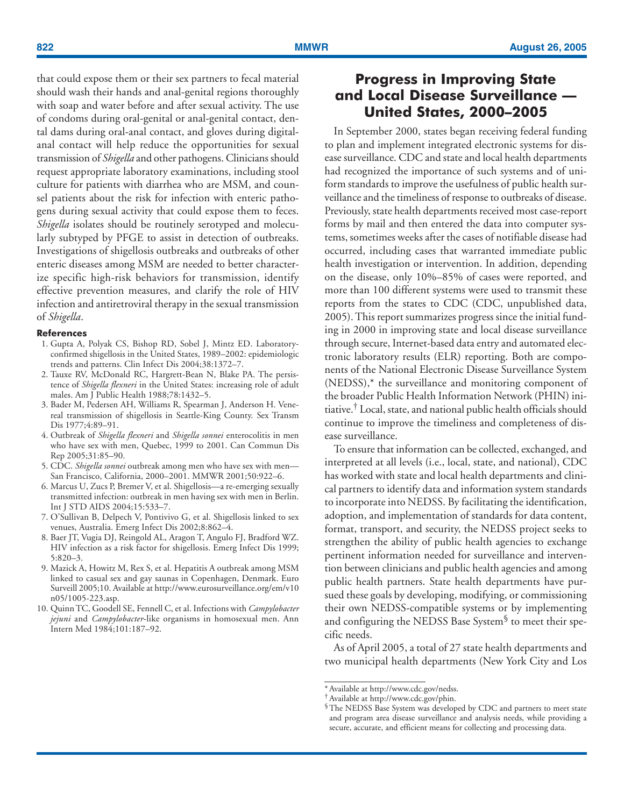<span id="page-5-0"></span>that could expose them or their sex partners to fecal material should wash their hands and anal-genital regions thoroughly with soap and water before and after sexual activity. The use of condoms during oral-genital or anal-genital contact, dental dams during oral-anal contact, and gloves during digitalanal contact will help reduce the opportunities for sexual transmission of *Shigella* and other pathogens. Clinicians should request appropriate laboratory examinations, including stool culture for patients with diarrhea who are MSM, and counsel patients about the risk for infection with enteric pathogens during sexual activity that could expose them to feces. *Shigella* isolates should be routinely serotyped and molecularly subtyped by PFGE to assist in detection of outbreaks. Investigations of shigellosis outbreaks and outbreaks of other enteric diseases among MSM are needed to better characterize specific high-risk behaviors for transmission, identify effective prevention measures, and clarify the role of HIV infection and antiretroviral therapy in the sexual transmission of *Shigella*.

## **References**

- 1. Gupta A, Polyak CS, Bishop RD, Sobel J, Mintz ED. Laboratoryconfirmed shigellosis in the United States, 1989–2002: epidemiologic trends and patterns. Clin Infect Dis 2004;38:1372–7.
- 2. Tauxe RV, McDonald RC, Hargrett-Bean N, Blake PA. The persistence of *Shigella flexneri* in the United States: increasing role of adult males. Am J Public Health 1988;78:1432–5.
- 3. Bader M, Pedersen AH, Williams R, Spearman J, Anderson H. Venereal transmission of shigellosis in Seattle-King County. Sex Transm Dis 1977;4:89-91.
- 4. Outbreak of *Shigella flexneri* and *Shigella sonnei* enterocolitis in men who have sex with men, Quebec, 1999 to 2001. Can Commun Dis Rep 2005;31:85–90.
- 5. CDC. *Shigella sonnei* outbreak among men who have sex with men— San Francisco, California, 2000–2001. MMWR 2001;50:922–6.
- 6. Marcus U, Zucs P, Bremer V, et al. Shigellosis—a re-emerging sexually transmitted infection: outbreak in men having sex with men in Berlin. Int J STD AIDS 2004;15:533–7.
- 7. O'Sullivan B, Delpech V, Pontivivo G, et al. Shigellosis linked to sex venues, Australia. Emerg Infect Dis 2002;8:862–4.
- 8. Baer JT, Vugia DJ, Reingold AL, Aragon T, Angulo FJ, Bradford WZ. HIV infection as a risk factor for shigellosis. Emerg Infect Dis 1999; 5:820–3.
- 9. Mazick A, Howitz M, Rex S, et al. Hepatitis A outbreak among MSM linked to casual sex and gay saunas in Copenhagen, Denmark. Euro Surveill 2005;10. Available a[t http://www.eurosurveillance.org/em/v10](http://www.eurosurveillance.org/em/v10n05/1005-223.asp) [n05/1005-223.asp.](http://www.eurosurveillance.org/em/v10n05/1005-223.asp)
- 10. Quinn TC, Goodell SE, Fennell C, et al. Infections with *Campylobacter jejuni* and *Campylobacter*-like organisms in homosexual men. Ann Intern Med 1984;101:187–92.

# **Progress in Improving State and Local Disease Surveillance — United States, 2000–2005**

In September 2000, states began receiving federal funding to plan and implement integrated electronic systems for disease surveillance. CDC and state and local health departments had recognized the importance of such systems and of uniform standards to improve the usefulness of public health surveillance and the timeliness of response to outbreaks of disease. Previously, state health departments received most case-report forms by mail and then entered the data into computer systems, sometimes weeks after the cases of notifiable disease had occurred, including cases that warranted immediate public health investigation or intervention. In addition, depending on the disease, only 10%–85% of cases were reported, and more than 100 different systems were used to transmit these reports from the states to CDC (CDC, unpublished data, 2005). This report summarizes progress since the initial funding in 2000 in improving state and local disease surveillance through secure, Internet-based data entry and automated electronic laboratory results (ELR) reporting. Both are components of the National Electronic Disease Surveillance System (NEDSS),\* the surveillance and monitoring component of the broader Public Health Information Network (PHIN) initiative.† Local, state, and national public health officials should continue to improve the timeliness and completeness of disease surveillance.

To ensure that information can be collected, exchanged, and interpreted at all levels (i.e., local, state, and national), CDC has worked with state and local health departments and clinical partners to identify data and information system standards to incorporate into NEDSS. By facilitating the identification, adoption, and implementation of standards for data content, format, transport, and security, the NEDSS project seeks to strengthen the ability of public health agencies to exchange pertinent information needed for surveillance and intervention between clinicians and public health agencies and among public health partners. State health departments have pursued these goals by developing, modifying, or commissioning their own NEDSS-compatible systems or by implementing and configuring the NEDSS Base System§ to meet their specific needs.

As of April 2005, a total of 27 state health departments and two municipal health departments (New York City and Los

<sup>\*</sup> Available at [http://www.cdc.gov/nedss.](http://www.cdc.gov/nedss)

<sup>†</sup>Available a[t http://www.cdc.gov/phin.](http://www.cdc.gov/phin)

<sup>§</sup>The NEDSS Base System was developed by CDC and partners to meet state and program area disease surveillance and analysis needs, while providing a secure, accurate, and efficient means for collecting and processing data.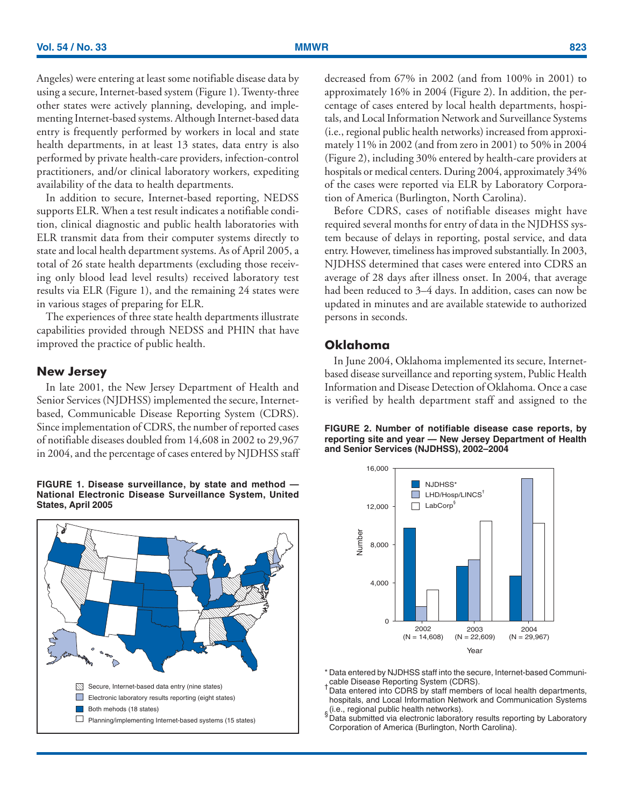Angeles) were entering at least some notifiable disease data by using a secure, Internet-based system (Figure 1). Twenty-three other states were actively planning, developing, and implementing Internet-based systems. Although Internet-based data entry is frequently performed by workers in local and state health departments, in at least 13 states, data entry is also performed by private health-care providers, infection-control practitioners, and/or clinical laboratory workers, expediting availability of the data to health departments.

In addition to secure, Internet-based reporting, NEDSS supports ELR. When a test result indicates a notifiable condition, clinical diagnostic and public health laboratories with ELR transmit data from their computer systems directly to state and local health department systems. As of April 2005, a total of 26 state health departments (excluding those receiving only blood lead level results) received laboratory test results via ELR (Figure 1), and the remaining 24 states were in various stages of preparing for ELR.

The experiences of three state health departments illustrate capabilities provided through NEDSS and PHIN that have improved the practice of public health.

# **New Jersey**

In late 2001, the New Jersey Department of Health and Senior Services (NJDHSS) implemented the secure, Internetbased, Communicable Disease Reporting System (CDRS). Since implementation of CDRS, the number of reported cases of notifiable diseases doubled from 14,608 in 2002 to 29,967 in 2004, and the percentage of cases entered by NJDHSS staff

**FIGURE 1. Disease surveillance, by state and method — National Electronic Disease Surveillance System, United States, April 2005**



decreased from 67% in 2002 (and from 100% in 2001) to approximately 16% in 2004 (Figure 2). In addition, the percentage of cases entered by local health departments, hospitals, and Local Information Network and Surveillance Systems (i.e., regional public health networks) increased from approximately 11% in 2002 (and from zero in 2001) to 50% in 2004 (Figure 2), including 30% entered by health-care providers at hospitals or medical centers. During 2004, approximately 34% of the cases were reported via ELR by Laboratory Corporation of America (Burlington, North Carolina).

Before CDRS, cases of notifiable diseases might have required several months for entry of data in the NJDHSS system because of delays in reporting, postal service, and data entry. However, timeliness has improved substantially. In 2003, NJDHSS determined that cases were entered into CDRS an average of 28 days after illness onset. In 2004, that average had been reduced to 3–4 days. In addition, cases can now be updated in minutes and are available statewide to authorized persons in seconds.

# **Oklahoma**

In June 2004, Oklahoma implemented its secure, Internetbased disease surveillance and reporting system, Public Health Information and Disease Detection of Oklahoma. Once a case is verified by health department staff and assigned to the

**FIGURE 2. Number of notifiable disease case reports, by reporting site and year — New Jersey Department of Health and Senior Services (NJDHSS), 2002–2004**



\* Data entered by NJDHSS staff into the secure, Internet-based Communicable Disease Reporting System (CDRS). †

Data entered into CDRS by staff members of local health departments, hospitals, and Local Information Network and Communication Systems  $_\S$ (i.e., regional public health networks).<br>§ Data submitted via electronic laboratory results reporting by Laboratory

Corporation of America (Burlington, North Carolina).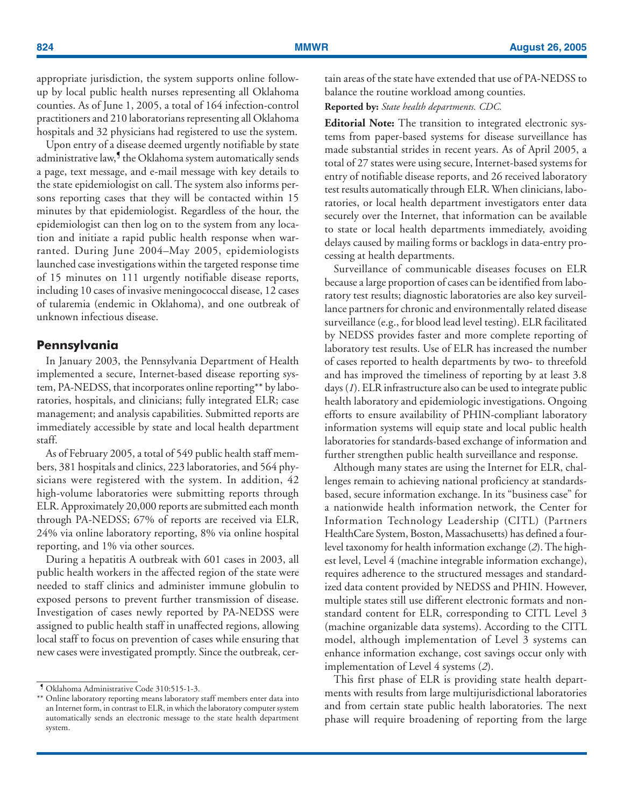appropriate jurisdiction, the system supports online followup by local public health nurses representing all Oklahoma counties. As of June 1, 2005, a total of 164 infection-control practitioners and 210 laboratorians representing all Oklahoma hospitals and 32 physicians had registered to use the system.

Upon entry of a disease deemed urgently notifiable by state administrative law,<sup>9</sup> the Oklahoma system automatically sends a page, text message, and e-mail message with key details to the state epidemiologist on call. The system also informs persons reporting cases that they will be contacted within 15 minutes by that epidemiologist. Regardless of the hour, the epidemiologist can then log on to the system from any location and initiate a rapid public health response when warranted. During June 2004–May 2005, epidemiologists launched case investigations within the targeted response time of 15 minutes on 111 urgently notifiable disease reports, including 10 cases of invasive meningococcal disease, 12 cases of tularemia (endemic in Oklahoma), and one outbreak of unknown infectious disease.

# **Pennsylvania**

In January 2003, the Pennsylvania Department of Health implemented a secure, Internet-based disease reporting system, PA-NEDSS, that incorporates online reporting\*\* by laboratories, hospitals, and clinicians; fully integrated ELR; case management; and analysis capabilities. Submitted reports are immediately accessible by state and local health department staff.

As of February 2005, a total of 549 public health staff members, 381 hospitals and clinics, 223 laboratories, and 564 physicians were registered with the system. In addition, 42 high-volume laboratories were submitting reports through ELR. Approximately 20,000 reports are submitted each month through PA-NEDSS; 67% of reports are received via ELR, 24% via online laboratory reporting, 8% via online hospital reporting, and 1% via other sources.

During a hepatitis A outbreak with 601 cases in 2003, all public health workers in the affected region of the state were needed to staff clinics and administer immune globulin to exposed persons to prevent further transmission of disease. Investigation of cases newly reported by PA-NEDSS were assigned to public health staff in unaffected regions, allowing local staff to focus on prevention of cases while ensuring that new cases were investigated promptly. Since the outbreak, certain areas of the state have extended that use of PA-NEDSS to balance the routine workload among counties.

**Reported by:** *State health departments. CDC.*

**Editorial Note:** The transition to integrated electronic systems from paper-based systems for disease surveillance has made substantial strides in recent years. As of April 2005, a total of 27 states were using secure, Internet-based systems for entry of notifiable disease reports, and 26 received laboratory test results automatically through ELR. When clinicians, laboratories, or local health department investigators enter data securely over the Internet, that information can be available to state or local health departments immediately, avoiding delays caused by mailing forms or backlogs in data-entry processing at health departments.

Surveillance of communicable diseases focuses on ELR because a large proportion of cases can be identified from laboratory test results; diagnostic laboratories are also key surveillance partners for chronic and environmentally related disease surveillance (e.g., for blood lead level testing). ELR facilitated by NEDSS provides faster and more complete reporting of laboratory test results. Use of ELR has increased the number of cases reported to health departments by two- to threefold and has improved the timeliness of reporting by at least 3.8 days (*1*). ELR infrastructure also can be used to integrate public health laboratory and epidemiologic investigations. Ongoing efforts to ensure availability of PHIN-compliant laboratory information systems will equip state and local public health laboratories for standards-based exchange of information and further strengthen public health surveillance and response.

Although many states are using the Internet for ELR, challenges remain to achieving national proficiency at standardsbased, secure information exchange. In its "business case" for a nationwide health information network, the Center for Information Technology Leadership (CITL) (Partners HealthCare System, Boston, Massachusetts) has defined a fourlevel taxonomy for health information exchange (*2*). The highest level, Level 4 (machine integrable information exchange), requires adherence to the structured messages and standardized data content provided by NEDSS and PHIN. However, multiple states still use different electronic formats and nonstandard content for ELR, corresponding to CITL Level 3 (machine organizable data systems). According to the CITL model, although implementation of Level 3 systems can enhance information exchange, cost savings occur only with implementation of Level 4 systems (*2*).

This first phase of ELR is providing state health departments with results from large multijurisdictional laboratories and from certain state public health laboratories. The next phase will require broadening of reporting from the large

<sup>¶</sup> Oklahoma Administrative Code 310:515-1-3.

<sup>\*\*</sup> Online laboratory reporting means laboratory staff members enter data into an Internet form, in contrast to ELR, in which the laboratory computer system automatically sends an electronic message to the state health department system.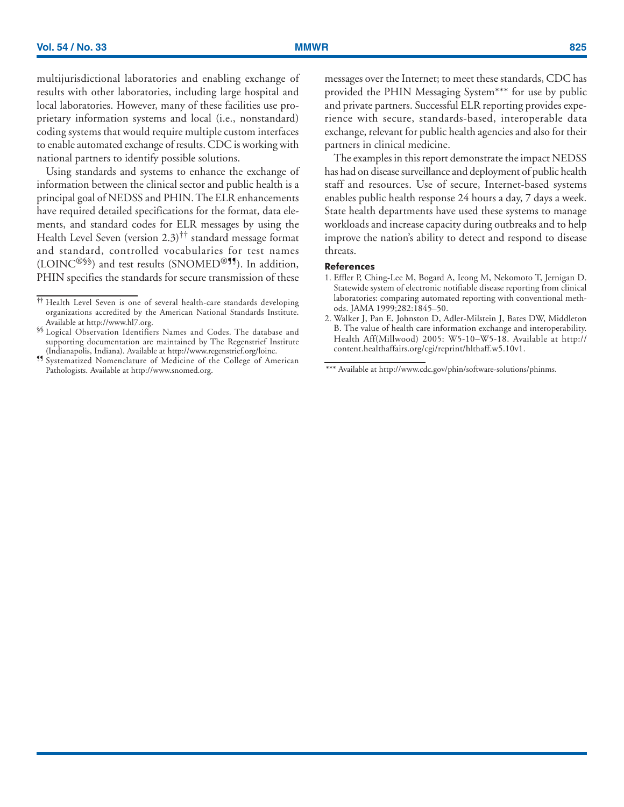multijurisdictional laboratories and enabling exchange of results with other laboratories, including large hospital and local laboratories. However, many of these facilities use proprietary information systems and local (i.e., nonstandard) coding systems that would require multiple custom interfaces to enable automated exchange of results. CDC is working with national partners to identify possible solutions.

Using standards and systems to enhance the exchange of information between the clinical sector and public health is a principal goal of NEDSS and PHIN. The ELR enhancements have required detailed specifications for the format, data elements, and standard codes for ELR messages by using the Health Level Seven (version  $2.3$ )<sup>††</sup> standard message format and standard, controlled vocabularies for test names  $(LOINC<sup>@§§§</sup>)$  and test results (SNOMED<sup>®¶</sup>, In addition, PHIN specifies the standards for secure transmission of these messages over the Internet; to meet these standards, CDC has provided the PHIN Messaging System\*\*\* for use by public and private partners. Successful ELR reporting provides experience with secure, standards-based, interoperable data exchange, relevant for public health agencies and also for their partners in clinical medicine.

The examples in this report demonstrate the impact NEDSS has had on disease surveillance and deployment of public health staff and resources. Use of secure, Internet-based systems enables public health response 24 hours a day, 7 days a week. State health departments have used these systems to manage workloads and increase capacity during outbreaks and to help improve the nation's ability to detect and respond to disease threats.

### **References**

- 1. Effler P, Ching-Lee M, Bogard A, Ieong M, Nekomoto T, Jernigan D. Statewide system of electronic notifiable disease reporting from clinical laboratories: comparing automated reporting with conventional methods. JAMA 1999;282:1845–50.
- 2. Walker J, Pan E, Johnston D, Adler-Milstein J, Bates DW, Middleton B. The value of health care information exchange and interoperability. Health Aff(Millwood) 2005: W5-10–W5-18. Available at [http://](http://content.healthaffairs.org/cgi/reprint/hlthaff.w5.10v1) [content.healthaffairs.org/cgi/reprint/hlthaff.w5.10v1.](http://content.healthaffairs.org/cgi/reprint/hlthaff.w5.10v1)

<sup>††</sup> Health Level Seven is one of several health-care standards developing organizations accredited by the American National Standards Institute.

Available at [http://www.hl7.org.](http://www.hl7.org) §§§<br>§§ Logical Observation Identifiers Names and Codes. The database and supporting documentation are maintained by The Regenstrief Institute

<sup>(</sup>Indianapolis, Indiana). Available at [http://www.regenstrief.org/loinc.](http://www.regenstrief.org/loinc) ¶¶ Systematized Nomenclature of Medicine of the College of American Pathologists. Available at<http://www.snomed.org>. \*\*\* Available at [http://www.cdc.gov/phin/software-solutions/phinms.](http://www.cdc.gov/phin/software-solutions/phinms)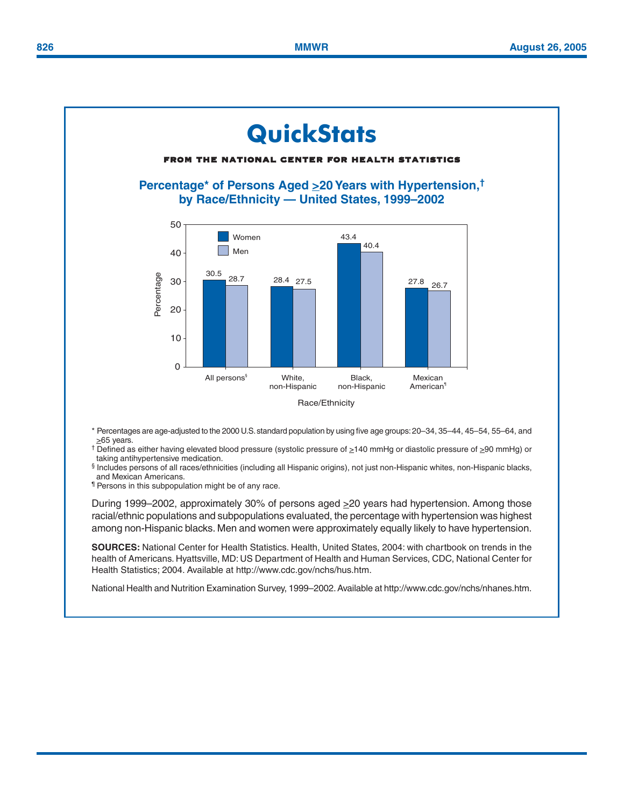# <span id="page-9-0"></span>**QuickStats** from the national center for health statistics **Percentage\* of Persons Aged >20 Years with Hypertension,† by Race/Ethnicity — United States, 1999–2002** 50 Women 43.4 40.4 Men40 30.5<br>28.7 28.4 27.5 Percentage Percentage 30 27.5 27.8 26.7 20 10 0 All persons§ White, Black, Mexican non-Hispanic non-Hispanic American¶ Race/Ethnicity

\* Percentages are age-adjusted to the 2000 U.S. standard population by using five age groups: 20–34, 35–44, 45–54, 55–64, and  $\geq$ 65 years.

† Defined as either having elevated blood pressure (systolic pressure of >140 mmHg or diastolic pressure of >90 mmHg) or taking antihypertensive medication.

§ Includes persons of all races/ethnicities (including all Hispanic origins), not just non-Hispanic whites, non-Hispanic blacks, and Mexican Americans.

¶ Persons in this subpopulation might be of any race.

During 1999–2002, approximately 30% of persons aged ≥20 years had hypertension. Among those racial/ethnic populations and subpopulations evaluated, the percentage with hypertension was highest among non-Hispanic blacks. Men and women were approximately equally likely to have hypertension.

**SOURCES:** National Center for Health Statistics. Health, United States, 2004: with chartbook on trends in the health of Americans. Hyattsville, MD: US Department of Health and Human Services, CDC, National Center for Health Statistics; 2004. Available at [http://www.cdc.gov/nchs/hus.htm.](http://www.cdc.gov/nchs/hus.htm)

National Health and Nutrition Examination Survey, 1999–2002. Available at [http://www.cdc.gov/nchs/nhanes.htm.](http://www.cdc.gov/nchs/nhanes.htm)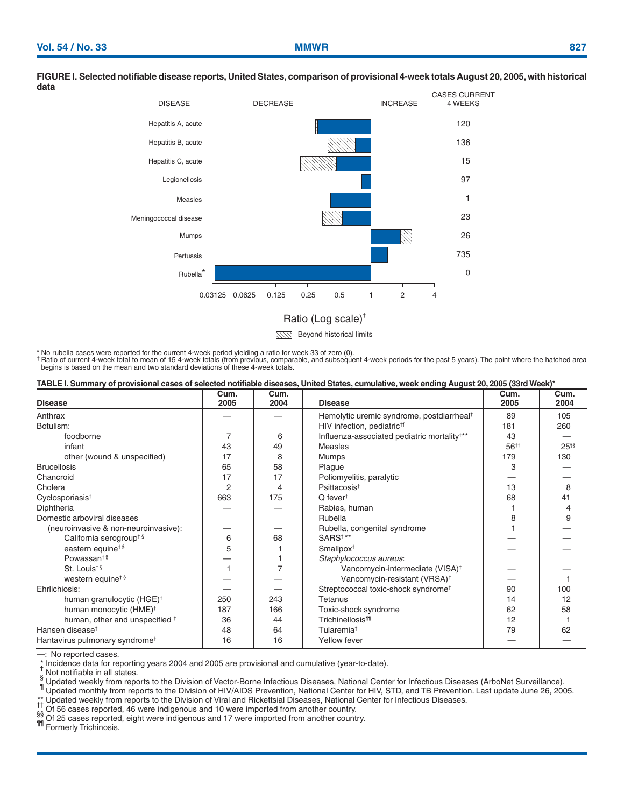### DISEASE DECREASE INCREASE CASES CURRENT 4 WEEKS 0.125 0.25 0.5 1 2 4 120 136 15 97 1 23 26 735  $\Omega$ Hepatitis A, acute Hepatitis B, acute Hepatitis C, acute Legionellosis Measles Mumps Pertussis Rubella \* Meningococcal disease 0.03125 0.0625

### **FIGURE I. Selected notifiable disease reports, United States, comparison of provisional 4-week totals August 20, 2005, with historical data**

Ratio (Log scale)†

**Beyond historical limits** 

\* No rubella cases were reported for the current 4-week period yielding a ratio for week 33 of zero (0). † Ratio of current 4-week total to mean of 15 4-week totals (from previous, comparable, and subsequent 4-week periods for the past 5 years). The point where the hatched area begins is based on the mean and two standard deviations of these 4-week totals.

| TABLE I. Summary of provisional cases of selected notifiable diseases, United States, cumulative, week ending August 20, 2005 (33rd Week)* |  |
|--------------------------------------------------------------------------------------------------------------------------------------------|--|
|                                                                                                                                            |  |

| <b>Disease</b>                             | Cum.<br>2005   | Cum.<br>2004 | <b>Disease</b>                                          | Cum.<br>2005     | Cum.<br>2004 |
|--------------------------------------------|----------------|--------------|---------------------------------------------------------|------------------|--------------|
| Anthrax                                    |                |              | Hemolytic uremic syndrome, postdiarrheal <sup>†</sup>   | 89               | 105          |
| Botulism:                                  |                |              | HIV infection, pediatric <sup>t¶</sup>                  | 181              | 260          |
| foodborne                                  |                | 6            | Influenza-associated pediatric mortality <sup>†**</sup> | 43               |              |
| infant                                     | 43             | 49           | Measles                                                 | 56 <sup>++</sup> | $25^{66}$    |
| other (wound & unspecified)                | 17             | 8            | Mumps                                                   | 179              | 130          |
| <b>Brucellosis</b>                         | 65             | 58           | Plague                                                  | 3                |              |
| Chancroid                                  | 17             | 17           | Poliomyelitis, paralytic                                |                  |              |
| Cholera                                    | $\overline{2}$ | 4            | Psittacosis <sup>t</sup>                                | 13               | 8            |
| Cyclosporiasis <sup>t</sup>                | 663            | 175          | $Q$ fever <sup>t</sup>                                  | 68               | 41           |
| Diphtheria                                 |                |              | Rabies, human                                           |                  | 4            |
| Domestic arboviral diseases                |                |              | Rubella                                                 | 8                | 9            |
| (neuroinvasive & non-neuroinvasive):       |                |              | Rubella, congenital syndrome                            |                  |              |
| California serogroup <sup>+§</sup>         | 6              | 68           | SARS <sup>t**</sup>                                     |                  |              |
| eastern equine <sup>t §</sup>              | 5              |              | Smallpox <sup>+</sup>                                   |                  |              |
| Powassan <sup>t§</sup>                     |                |              | Staphylococcus aureus:                                  |                  |              |
| St. Louis <sup>t§</sup>                    |                |              | Vancomycin-intermediate (VISA) <sup>†</sup>             |                  |              |
| western equine <sup>t §</sup>              |                |              | Vancomycin-resistant (VRSA) <sup>+</sup>                |                  |              |
| Ehrlichiosis:                              |                |              | Streptococcal toxic-shock syndrome <sup>t</sup>         | 90               | 100          |
| human granulocytic (HGE) <sup>†</sup>      | 250            | 243          | Tetanus                                                 | 14               | 12           |
| human monocytic (HME) <sup>†</sup>         | 187            | 166          | Toxic-shock syndrome                                    | 62               | 58           |
| human, other and unspecified <sup>+</sup>  | 36             | 44           | <b>Trichinellosis<sup>11</sup></b>                      | 12               |              |
| Hansen disease <sup>t</sup>                | 48             | 64           | Tularemia <sup>t</sup>                                  | 79               | 62           |
| Hantavirus pulmonary syndrome <sup>+</sup> | 16             | 16           | Yellow fever                                            |                  |              |

--: No reported cases.<br>
\* Incidence data for reporting years 2004 and 2005 are provisional and cumulative (year-to-date).

Not notifiable in all states.<br>Supported weekly from reports to the Division of Vector-Borne Infectious Diseases, National Center for Infectious Diseases (ArboNet Surveillance).<br>Tupdated monthly from reports to the Division

11 Of 56 cases reported, 46 were indigenous and 10 were imported from another country.<br>
\$8 Of 25 cases reported, eight were indigenous and 17 were imported from another country.<br>
11 Formerly Trichinosis.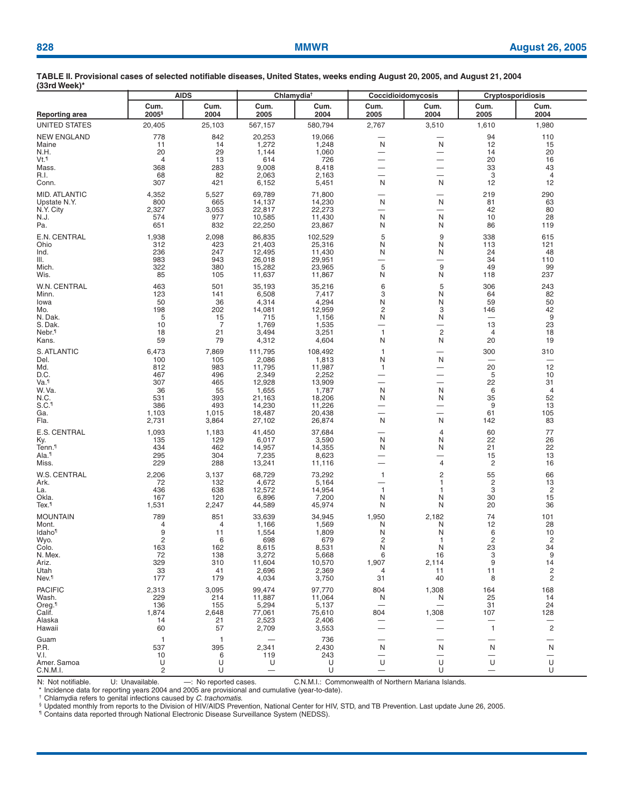| .                                                                                                       | <b>AIDS</b>                                                                   |                                                                               |                                                                                                         | Chlamydia <sup>t</sup>                                                                                  | Coccidioidomycosis                                                                                                                                         |                                                                                                                                                                   | <b>Cryptosporidiosis</b>                                             |                                                                                        |
|---------------------------------------------------------------------------------------------------------|-------------------------------------------------------------------------------|-------------------------------------------------------------------------------|---------------------------------------------------------------------------------------------------------|---------------------------------------------------------------------------------------------------------|------------------------------------------------------------------------------------------------------------------------------------------------------------|-------------------------------------------------------------------------------------------------------------------------------------------------------------------|----------------------------------------------------------------------|----------------------------------------------------------------------------------------|
| <b>Reporting area</b>                                                                                   | Cum.<br>2005 <sup>§</sup>                                                     | Cum.<br>2004                                                                  | Cum.<br>2005                                                                                            | Cum.<br>2004                                                                                            | Cum.<br>2005                                                                                                                                               | Cum.<br>2004                                                                                                                                                      | Cum.<br>2005                                                         | Cum.<br>2004                                                                           |
| UNITED STATES                                                                                           | 20,405                                                                        | 25,103                                                                        | 567,157                                                                                                 | 580,794                                                                                                 | 2,767                                                                                                                                                      | 3,510                                                                                                                                                             | 1,610                                                                | 1,980                                                                                  |
| <b>NEW ENGLAND</b><br>Maine<br>N.H.<br>Vt.¶                                                             | 778<br>11<br>20<br>$\overline{4}$<br>368                                      | 842<br>14<br>29<br>13                                                         | 20,253<br>1,272<br>1,144<br>614<br>9,008                                                                | 19,066<br>1,248<br>1,060<br>726<br>8,418                                                                | N<br>$\overline{\phantom{0}}$<br>$\overline{\phantom{0}}$                                                                                                  | N<br>$\overline{\phantom{0}}$<br>$\overline{\phantom{0}}$                                                                                                         | 94<br>12<br>14<br>20<br>33                                           | 110<br>15<br>20<br>16<br>43                                                            |
| Mass.<br>R.I.<br>Conn.                                                                                  | 68<br>307                                                                     | 283<br>82<br>421                                                              | 2,063<br>6,152                                                                                          | 2,163<br>5,451                                                                                          | N                                                                                                                                                          | $\overline{\phantom{0}}$<br>N                                                                                                                                     | 3<br>12                                                              | 4<br>12                                                                                |
| MID. ATLANTIC<br>Upstate N.Y.<br>N.Y. City<br>N.J.<br>Pa.                                               | 4,352<br>800<br>2,327<br>574<br>651                                           | 5,527<br>665<br>3,053<br>977<br>832                                           | 69,789<br>14,137<br>22,817<br>10,585<br>22,250                                                          | 71,800<br>14,230<br>22,273<br>11,430<br>23,867                                                          | N<br>—<br>N<br>N                                                                                                                                           | N<br>$\overline{\phantom{0}}$<br>N<br>N                                                                                                                           | 219<br>81<br>42<br>10<br>86                                          | 290<br>63<br>80<br>28<br>119                                                           |
| E.N. CENTRAL<br>Ohio<br>Ind.<br>III.<br>Mich.                                                           | 1,938<br>312<br>236<br>983<br>322                                             | 2,098<br>423<br>247<br>943<br>380                                             | 86,835<br>21,403<br>12,495<br>26,018<br>15,282                                                          | 102,529<br>25,316<br>11,430<br>29,951<br>23,965                                                         | 5<br>N<br>N<br>$\overline{\phantom{0}}$<br>5                                                                                                               | 9<br>N<br>N<br>$\overline{\phantom{0}}$<br>9                                                                                                                      | 338<br>113<br>24<br>34<br>49                                         | 615<br>121<br>48<br>110<br>99                                                          |
| Wis.<br>W.N. CENTRAL<br>Minn.<br>Iowa<br>Mo.<br>N. Dak.<br>S. Dak.<br>Nebr. <sup>1</sup>                | 85<br>463<br>123<br>50<br>198<br>5<br>10<br>18                                | 105<br>501<br>141<br>36<br>202<br>15<br>7<br>21                               | 11,637<br>35,193<br>6,508<br>4,314<br>14,081<br>715<br>1,769<br>3,494                                   | 11,867<br>35,216<br>7,417<br>4,294<br>12,959<br>1,156<br>1,535<br>3,251                                 | N<br>6<br>3<br>N<br>$\overline{c}$<br>N<br>$\overline{\phantom{0}}$<br>$\mathbf{1}$                                                                        | N<br>5<br>N<br>N<br>3<br>N<br>$\overline{\phantom{0}}$<br>$\overline{c}$                                                                                          | 118<br>306<br>64<br>59<br>146<br>$\overline{\phantom{0}}$<br>13<br>4 | 237<br>243<br>82<br>50<br>42<br>9<br>23<br>18                                          |
| Kans.<br>S. ATLANTIC<br>Del.<br>Md.<br>D.C.<br>Va.¶<br>W.Va<br>N.C.<br>S.C. <sup>1</sup><br>Ga.<br>Fla. | 59<br>6,473<br>100<br>812<br>467<br>307<br>36<br>531<br>386<br>1,103<br>2,731 | 79<br>7,869<br>105<br>983<br>496<br>465<br>55<br>393<br>493<br>1,015<br>3,864 | 4,312<br>111,795<br>2,086<br>11,795<br>2,349<br>12,928<br>1,655<br>21,163<br>14,230<br>18,487<br>27,102 | 4,604<br>108,492<br>1,813<br>11,987<br>2,252<br>13,909<br>1,787<br>18,206<br>11,226<br>20,438<br>26,874 | N<br>$\mathbf{1}$<br>N<br>1<br>$\overline{\phantom{0}}$<br>$\overline{\phantom{0}}$<br>N<br>N<br>$\overline{\phantom{0}}$<br>$\overline{\phantom{0}}$<br>N | N<br>$\overline{\phantom{0}}$<br>N<br>$\overline{\phantom{0}}$<br>$\overline{\phantom{0}}$<br>N<br>N<br>$\overline{\phantom{0}}$<br>$\overline{\phantom{0}}$<br>N | 20<br>300<br>-<br>20<br>5<br>22<br>6<br>35<br>9<br>61<br>142         | 19<br>310<br>12<br>10<br>31<br>4<br>52<br>13<br>105<br>83                              |
| E.S. CENTRAL<br>Ky.<br>Tenn. <sup>1</sup><br>Ala.¶<br>Miss.                                             | 1,093<br>135<br>434<br>295<br>229                                             | 1,183<br>129<br>462<br>304<br>288                                             | 41,450<br>6,017<br>14,957<br>7,235<br>13,241                                                            | 37,684<br>3,590<br>14,355<br>8,623<br>11,116                                                            | N<br>N<br>-<br>$\overline{\phantom{0}}$                                                                                                                    | 4<br>N<br>N<br>-<br>4                                                                                                                                             | 60<br>22<br>21<br>15<br>$\overline{c}$                               | 77<br>26<br>22<br>13<br>16                                                             |
| W.S. CENTRAL<br>Ark.<br>La.<br>Okla.<br>Tex.1                                                           | 2,206<br>72<br>436<br>167<br>1,531                                            | 3,137<br>132<br>638<br>120<br>2,247                                           | 68,729<br>4,672<br>12,572<br>6,896<br>44,589                                                            | 73,292<br>5,164<br>14,954<br>7,200<br>45,974                                                            | 1<br>$\mathbf{1}$<br>N<br>N                                                                                                                                | 2<br>1<br>1<br>N<br>N                                                                                                                                             | 55<br>2<br>3<br>30<br>20                                             | 66<br>13<br>$\overline{c}$<br>15<br>36                                                 |
| <b>MOUNTAIN</b><br>Mont.<br>Idaho <sup>1</sup><br>Wyo.<br>Colo.<br>N. Mex.<br>Ariz.<br>Utah<br>Nev.¶    | 789<br>4<br>9<br>$\overline{\mathbf{c}}$<br>163<br>72<br>329<br>33<br>177     | 851<br>4<br>11<br>6<br>162<br>138<br>310<br>41<br>179                         | 33,639<br>1,166<br>1,554<br>698<br>8,615<br>3,272<br>11,604<br>2,696<br>4,034                           | 34,945<br>1,569<br>1,809<br>679<br>8,531<br>5,668<br>10,570<br>2,369<br>3,750                           | 1,950<br>N<br>N<br>2<br>N<br>6<br>1,907<br>4<br>31                                                                                                         | 2,182<br>N<br>N<br>1<br>N<br>16<br>2,114<br>11<br>40                                                                                                              | 74<br>12<br>6<br>$\overline{c}$<br>23<br>3<br>9<br>11<br>8           | 101<br>28<br>10<br>$\overline{c}$<br>34<br>9<br>14<br>$\overline{c}$<br>$\mathsf{2}\,$ |
| <b>PACIFIC</b><br>Wash.<br>Oreg. <sup>¶</sup><br>Calif.<br>Alaska<br>Hawaii                             | 2,313<br>229<br>136<br>1,874<br>14<br>60                                      | 3,095<br>214<br>155<br>2,648<br>21<br>57                                      | 99,474<br>11,887<br>5,294<br>77,061<br>2,523<br>2,709                                                   | 97,770<br>11,064<br>5,137<br>75,610<br>2,406<br>3,553                                                   | 804<br>N<br>804<br>-                                                                                                                                       | 1,308<br>N<br>1,308                                                                                                                                               | 164<br>25<br>31<br>107<br>1                                          | 168<br>14<br>24<br>128<br>$\overline{c}$                                               |
| Guam<br>P.R.<br>V.I.<br>Amer. Samoa<br>C.N.M.I.                                                         | 1<br>537<br>10<br>U<br>$\overline{2}$                                         | -1<br>395<br>6<br>U<br>U                                                      | 2,341<br>119<br>U                                                                                       | 736<br>2,430<br>243<br>U<br>U                                                                           | —<br>N<br>-<br>U<br>$\overline{\phantom{0}}$                                                                                                               | N<br>U<br>U                                                                                                                                                       | N<br>—<br>U<br>$\overline{\phantom{0}}$                              | $\overline{\phantom{0}}$<br>N<br>U<br>U                                                |

N: Not notifiable. U: Unavailable. – Ho reported cases. C.N.M.I.: Commonwealth of Northern Mariana Islands.<br>\* Incidence data for reporting years 2004 and 2005 are provisional and cumulative (year-to-date).

† Chlamydia refers to genital infections caused by *C. trachomatis.*<br>§ Updated monthly from reports to the Division of HIV/AIDS Prevention, National Center for HIV, STD, and TB Prevention. Last update June 26, 2005.<br>¶ Cont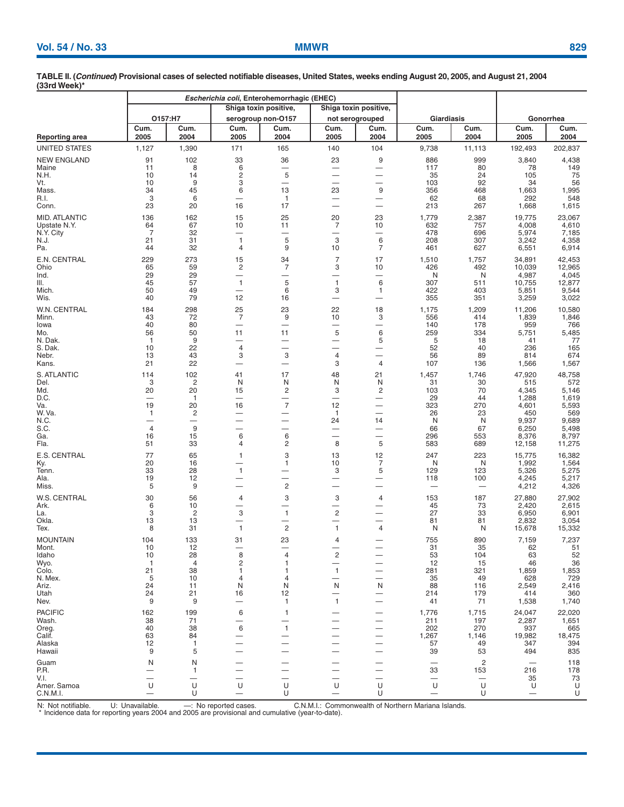|                                      |                                |                          |                                                      | Escherichia coli, Enterohemorrhagic (EHEC) |                                          |                       |                   |                |                  |                  |
|--------------------------------------|--------------------------------|--------------------------|------------------------------------------------------|--------------------------------------------|------------------------------------------|-----------------------|-------------------|----------------|------------------|------------------|
|                                      |                                |                          |                                                      | Shiga toxin positive,                      |                                          | Shiga toxin positive, |                   |                |                  |                  |
|                                      |                                | O157:H7                  |                                                      | serogroup non-O157                         |                                          | not serogrouped       | <b>Giardiasis</b> |                |                  | Gonorrhea        |
| <b>Reporting area</b>                | Cum.<br>2005                   | Cum.<br>2004             | Cum.<br>2005                                         | Cum.<br>2004                               | Cum.<br>2005                             | Cum.<br>2004          | Cum.<br>2005      | Cum.<br>2004   | Cum.<br>2005     | Cum.<br>2004     |
| UNITED STATES                        | 1,127                          | 1,390                    | 171                                                  | 165                                        | 140                                      | 104                   | 9,738             | 11,113         | 192,493          | 202,837          |
| <b>NEW ENGLAND</b>                   | 91                             | 102                      | 33                                                   | 36                                         | 23                                       | 9                     | 886               | 999            | 3,840            | 4,438            |
| Maine                                | 11                             | 8                        | 6                                                    | —                                          | $\overline{\phantom{0}}$                 | —                     | 117               | 80             | 78               | 149              |
| N.H.<br>Vt.                          | 10<br>10                       | 14<br>9                  | $\overline{c}$<br>3                                  | 5<br>$\overbrace{\phantom{12333}}$         | $\overline{\phantom{0}}$<br>-            |                       | 35<br>103         | 24<br>92       | 105<br>34        | 75<br>56         |
| Mass.                                | 34                             | 45                       | 6                                                    | 13                                         | 23                                       | 9                     | 356               | 468            | 1,663            | 1,995            |
| R.I.                                 | 3                              | 6                        | —                                                    | $\mathbf{1}$                               | $\overline{\phantom{0}}$                 | —                     | 62                | 68             | 292              | 548              |
| Conn.                                | 23                             | 20                       | 16                                                   | 17                                         |                                          | -                     | 213               | 267            | 1,668            | 1,615            |
| <b>MID. ATLANTIC</b><br>Upstate N.Y. | 136<br>64                      | 162<br>67                | 15<br>10                                             | 25<br>11                                   | 20<br>7                                  | 23<br>10              | 1,779<br>632      | 2,387<br>757   | 19,775<br>4,008  | 23,067<br>4,610  |
| N.Y. City                            | $\overline{7}$                 | 32                       | $\overline{\phantom{0}}$                             |                                            | -                                        | -                     | 478               | 696            | 5,974            | 7,185            |
| N.J.                                 | 21                             | 31                       | $\mathbf{1}$                                         | 5                                          | 3                                        | 6                     | 208               | 307            | 3,242            | 4,358            |
| Pa.                                  | 44                             | 32                       | $\overline{4}$                                       | 9                                          | 10                                       | 7                     | 461               | 627            | 6,551            | 6,914            |
| E.N. CENTRAL<br>Ohio                 | 229<br>65                      | 273<br>59                | 15<br>$\overline{c}$                                 | 34<br>7                                    | $\overline{7}$<br>3                      | 17<br>10              | 1,510<br>426      | 1,757<br>492   | 34,891<br>10,039 | 42,453<br>12,965 |
| Ind.                                 | 29                             | 29                       | $\overbrace{\phantom{13333}}$                        | —                                          | -                                        | -                     | N                 | N              | 4,987            | 4,045            |
| III.                                 | 45                             | 57                       | $\mathbf{1}$                                         | 5                                          | $\mathbf{1}$                             | 6                     | 307               | 511            | 10,755           | 12,877           |
| Mich.<br>Wis.                        | 50<br>40                       | 49<br>79                 | —<br>12                                              | 6<br>16                                    | 3<br>-                                   | 1                     | 422<br>355        | 403<br>351     | 5,851<br>3,259   | 9,544<br>3,022   |
| W.N. CENTRAL                         | 184                            | 298                      | 25                                                   | 23                                         | 22                                       | 18                    | 1,175             | 1,209          | 11,206           | 10,580           |
| Minn.                                | 43                             | 72                       | $\overline{7}$                                       | 9                                          | 10                                       | 3                     | 556               | 414            | 1,839            | 1,846            |
| lowa                                 | 40                             | 80                       | —                                                    | $\overline{\phantom{0}}$                   | -                                        | —                     | 140               | 178            | 959              | 766              |
| Mo.<br>N. Dak.                       | 56<br>-1                       | 50<br>9                  | 11<br>—                                              | 11<br>—                                    | 5<br>$\overline{\phantom{0}}$            | 6<br>5                | 259<br>5          | 334<br>18      | 5,751<br>41      | 5,485<br>77      |
| S. Dak.                              | 10                             | 22                       | $\overline{4}$                                       | —                                          | $\overline{\phantom{0}}$                 |                       | 52                | 40             | 236              | 165              |
| Nebr.                                | 13                             | 43                       | 3                                                    | 3                                          | 4                                        |                       | 56                | 89             | 814              | 674              |
| Kans.                                | 21                             | 22                       | —                                                    |                                            | 3                                        | 4                     | 107               | 136            | 1,566            | 1,567            |
| S. ATLANTIC                          | 114                            | 102                      | 41                                                   | 17                                         | 48                                       | 21                    | 1,457             | 1,746          | 47,920           | 48,758           |
| Del.<br>Md.                          | 3<br>20                        | $\overline{2}$<br>20     | N<br>15                                              | N<br>2                                     | N<br>3                                   | N<br>2                | 31<br>103         | 30<br>70       | 515<br>4,345     | 572<br>5,146     |
| D.C.                                 | $\overline{\phantom{0}}$       | $\overline{1}$           | $\overline{\phantom{0}}$                             | —                                          | $\overline{\phantom{0}}$                 | —                     | 29                | 44             | 1,288            | 1,619            |
| Va.<br>W. Va.                        | 19                             | 20<br>$\overline{c}$     | 16                                                   | $\overline{7}$                             | 12<br>-1                                 |                       | 323<br>26         | 270<br>23      | 4,601<br>450     | 5,593<br>569     |
| N.C.                                 | -1<br>$\overline{\phantom{0}}$ | $\overline{\phantom{0}}$ | $\overline{\phantom{0}}$<br>$\overline{\phantom{0}}$ | —<br>$\overbrace{\phantom{13333}}$         | 24                                       | —<br>14               | N                 | N              | 9,937            | 9,689            |
| S.C.                                 | 4                              | 9                        | —                                                    | —                                          | $\overline{\phantom{0}}$                 | -                     | 66                | 67             | 6,250            | 5,498            |
| Ga.<br>Fla.                          | 16<br>51                       | 15<br>33                 | 6<br>4                                               | 6<br>2                                     | 8                                        | 5                     | 296<br>583        | 553<br>689     | 8,376<br>12,158  | 8,797<br>11,275  |
|                                      |                                |                          |                                                      |                                            |                                          |                       |                   |                |                  |                  |
| E.S. CENTRAL<br>Ky.                  | 77<br>20                       | 65<br>16                 | $\mathbf{1}$<br>-                                    | 3<br>$\mathbf{1}$                          | 13<br>10                                 | 12<br>7               | 247<br>N          | 223<br>N       | 15,775<br>1,992  | 16,382<br>1,564  |
| Tenn.                                | 33                             | 28                       | $\mathbf{1}$                                         | —                                          | 3                                        | 5                     | 129               | 123            | 5,326            | 5,275            |
| Ala.                                 | 19                             | 12                       | $\overline{\phantom{0}}$                             | $\overline{\phantom{0}}$<br>$\overline{c}$ | $\overline{\phantom{0}}$                 |                       | 118               | 100            | 4,245            | 5,217            |
| Miss.                                | 5                              | 9                        | $\overline{\phantom{0}}$                             |                                            | -                                        |                       | -                 |                | 4,212            | 4,326            |
| W.S. CENTRAL<br>Ark.                 | 30<br>6                        | 56<br>10                 | 4<br>—                                               | 3<br>-                                     | 3                                        | 4                     | 153<br>45         | 187<br>73      | 27,880<br>2,420  | 27,902<br>2,615  |
| La.                                  | 3                              | $\overline{c}$           | 3                                                    | $\mathbf{1}$                               | $\overline{\mathbf{c}}$                  |                       | 27                | 33             | 6,950            | 6,901            |
| Okla.                                | 13                             | 13                       | —<br>$\mathbf{1}$                                    | $\overline{\phantom{0}}$<br>$\overline{2}$ | $\overline{\phantom{0}}$<br>$\mathbf{1}$ |                       | 81                | 81             | 2,832            | 3,054            |
| Tex.                                 | 8                              | 31                       |                                                      |                                            |                                          | 4                     | N                 | N              | 15,678           | 15,332           |
| <b>MOUNTAIN</b>                      | 104<br>10                      | 133<br>12                | 31                                                   | 23                                         | 4                                        |                       | 755<br>31         | 890<br>35      | 7,159<br>62      | 7,237<br>51      |
| Mont.<br>ldaho                       | 10                             | 28                       | 8                                                    | $\overline{4}$                             | $\overline{\mathbf{c}}$                  |                       | 53                | 104            | 63               | 52               |
| Wyo.                                 | $\mathbf{1}$                   | 4                        | 2                                                    | 1                                          |                                          |                       | 12                | 15             | 46               | 36               |
| Colo.<br>N. Mex.                     | 21<br>5                        | 38<br>10                 | -1<br>4                                              | 1<br>4                                     | 1                                        |                       | 281<br>35         | 321<br>49      | 1,859<br>628     | 1,853<br>729     |
| Ariz.                                | 24                             | 11                       | N                                                    | N                                          | N                                        | N                     | 88                | 116            | 2,549            | 2,416            |
| Utah                                 | 24                             | 21                       | 16                                                   | 12                                         |                                          |                       | 214               | 179            | 414              | 360              |
| Nev.                                 | 9                              | 9                        | —                                                    | $\mathbf{1}$                               | 1                                        |                       | 41                | 71             | 1,538            | 1,740            |
| <b>PACIFIC</b><br>Wash.              | 162<br>38                      | 199<br>71                | 6                                                    | $\mathbf{1}$                               |                                          |                       | 1,776<br>211      | 1,715<br>197   | 24,047<br>2,287  | 22,020<br>1,651  |
| Oreg.                                | 40                             | 38                       | 6                                                    | $\mathbf{1}$                               |                                          |                       | 202               | 270            | 937              | 665              |
| Calif.                               | 63                             | 84                       |                                                      |                                            |                                          |                       | 1,267             | 1,146          | 19,982           | 18,475           |
| Alaska<br>Hawaii                     | 12<br>9                        | $\mathbf{1}$<br>5        |                                                      |                                            |                                          |                       | 57<br>39          | 49<br>53       | 347<br>494       | 394<br>835       |
| Guam                                 | N                              | N                        |                                                      |                                            |                                          |                       |                   | $\overline{c}$ |                  | 118              |
| P.R.                                 |                                | 1                        |                                                      |                                            |                                          |                       | 33                | 153            | 216              | 178              |
| V.I.                                 |                                | —                        | -                                                    |                                            |                                          |                       | —                 |                | 35               | 73               |
| Amer. Samoa<br>C.N.M.I.              | U                              | U<br>U                   | U                                                    | U<br>U                                     | U                                        | U<br>U                | U                 | U<br>U         | U                | U<br>U           |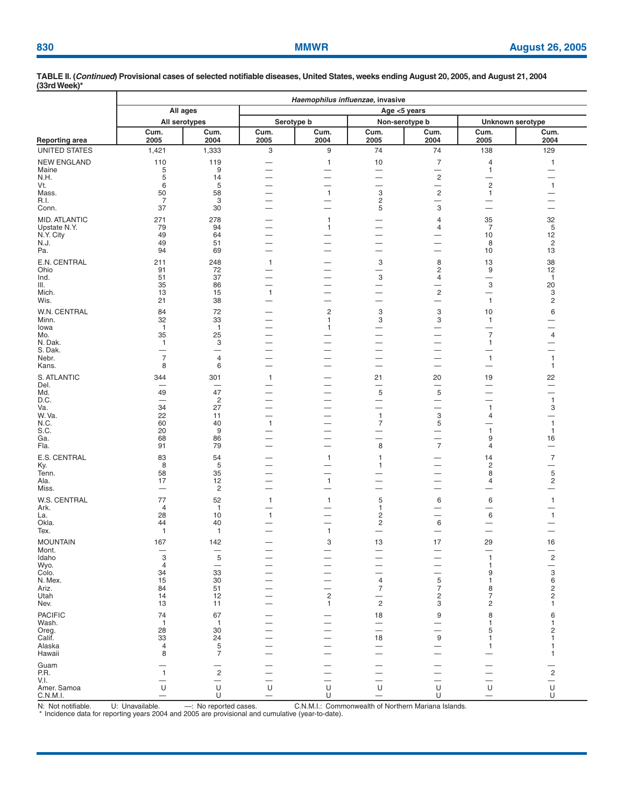| Haemophilus influenzae, invasive |                      |                                        |                                                      |                                |                                            |                                        |                                          |                                                  |  |
|----------------------------------|----------------------|----------------------------------------|------------------------------------------------------|--------------------------------|--------------------------------------------|----------------------------------------|------------------------------------------|--------------------------------------------------|--|
|                                  | All ages             |                                        |                                                      | Age <5 years                   |                                            |                                        |                                          |                                                  |  |
|                                  | All serotypes        |                                        |                                                      | Serotype b                     |                                            | Non-serotype b                         | Unknown serotype                         |                                                  |  |
| <b>Reporting area</b>            | Cum.<br>2005         | Cum.<br>2004                           | Cum.<br>2005                                         | Cum.<br>2004                   | Cum.<br>2005                               | Cum.<br>2004                           | Cum.<br>2005                             | Cum.<br>2004                                     |  |
| <b>UNITED STATES</b>             | 1,421                | 1,333                                  | 3                                                    | 9                              | 74                                         | 74                                     | 138                                      | 129                                              |  |
| <b>NEW ENGLAND</b>               | 110                  | 119                                    |                                                      | $\mathbf{1}$                   | 10                                         | $\overline{7}$                         | 4                                        | $\mathbf{1}$                                     |  |
| Maine<br>N.H.                    | 5<br>5               | 9<br>14                                | —                                                    | -                              | -<br>۰                                     | —<br>$\sqrt{2}$                        | $\mathbf{1}$<br>-                        | -                                                |  |
| Vt.                              | 6                    | 5                                      | —                                                    | $\overline{\phantom{0}}$       | —                                          | $\overline{\phantom{0}}$               | $\mathbf 2$                              | $\mathbf{1}$                                     |  |
| Mass.<br>R.I.                    | 50<br>$\overline{7}$ | 58<br>3                                | —                                                    | $\mathbf{1}$<br>—              | $\ensuremath{\mathsf{3}}$<br>$\sqrt{2}$    | $\sqrt{2}$<br>$\overline{\phantom{0}}$ | $\mathbf{1}$<br>$\overline{\phantom{0}}$ | -                                                |  |
| Conn.                            | 37                   | 30                                     | —                                                    | —                              | 5                                          | 3                                      | —                                        | $\overline{\phantom{a}}$                         |  |
| <b>MID. ATLANTIC</b>             | 271                  | 278<br>94                              | -                                                    | $\mathbf{1}$<br>$\mathbf{1}$   |                                            | 4<br>4                                 | 35<br>7                                  | 32<br>5                                          |  |
| Upstate N.Y.<br>N.Y. City        | 79<br>49             | 64                                     | $\overline{\phantom{0}}$<br>$\overline{\phantom{0}}$ | —                              | -                                          | -                                      | 10                                       | 12                                               |  |
| N.J.<br>Pa.                      | 49<br>94             | 51<br>69                               | $\overline{\phantom{0}}$<br>—                        | $\overline{\phantom{0}}$       | -                                          | $\overline{\phantom{a}}$               | 8<br>10                                  | $\overline{c}$<br>13                             |  |
| E.N. CENTRAL                     | 211                  | 248                                    | $\mathbf{1}$                                         | —                              | 3                                          | 8                                      | 13                                       | 38                                               |  |
| Ohio                             | 91                   | 72                                     | —                                                    | —                              | —                                          | $\overline{c}$                         | 9                                        | 12                                               |  |
| Ind.<br>III.                     | 51<br>35             | 37<br>86                               | ÷<br>$\overline{\phantom{0}}$                        | —                              | 3<br>—                                     | 4<br>-                                 | —<br>3                                   | $\mathbf{1}$<br>20                               |  |
| Mich.                            | 13                   | 15                                     | $\mathbf{1}$                                         | -                              | -                                          | $\sqrt{2}$                             | —                                        | 3                                                |  |
| Wis.                             | 21                   | 38                                     | -                                                    | —                              | -                                          | -                                      | $\overline{1}$                           | $\overline{c}$                                   |  |
| W.N. CENTRAL<br>Minn.            | 84<br>32             | 72<br>33                               | —                                                    | $\overline{c}$<br>$\mathbf{1}$ | 3<br>3                                     | 3<br>3                                 | 10<br>$\mathbf{1}$                       | 6<br>—                                           |  |
| lowa                             | $\overline{1}$       | $\overline{1}$                         | ۰                                                    | $\mathbf{1}$                   | -                                          | —                                      | $\overline{\phantom{0}}$                 | -                                                |  |
| Mo.<br>N. Dak.                   | 35<br>$\mathbf{1}$   | 25<br>3                                | —                                                    | ÷.                             | $\overline{\phantom{a}}$                   | ÷.                                     | $\overline{7}$<br>1                      | $\overline{4}$<br>$\overline{\phantom{a}}$       |  |
| S. Dak.                          | —                    |                                        | —                                                    | -                              | —                                          | -                                      | —                                        |                                                  |  |
| Nebr.<br>Kans.                   | $\overline{7}$<br>8  | $\overline{4}$<br>6                    | —                                                    | -                              | —                                          | $\overline{\phantom{0}}$               | $\mathbf{1}$<br>$\overline{\phantom{0}}$ | $\mathbf{1}$<br>$\mathbf{1}$                     |  |
| S. ATLANTIC                      | 344                  | 301                                    | $\mathbf{1}$                                         |                                | 21                                         | 20                                     | 19                                       | 22                                               |  |
| Del.<br>Md.                      | 49                   | 47                                     | —<br>—                                               | —                              | -<br>5                                     | 5                                      | -<br>—                                   | $\overline{\phantom{0}}$<br>-                    |  |
| D.C.                             | -                    | $\overline{2}$                         | —                                                    | -                              | $\overline{\phantom{0}}$                   | $\overline{\phantom{0}}$               |                                          | $\mathbf{1}$                                     |  |
| Va.<br>W.Va.                     | 34<br>22             | 27<br>11                               | —<br>$\overline{\phantom{0}}$                        | —                              | $\overline{\phantom{0}}$<br>$\mathbf{1}$   | —<br>—<br>3                            | $\mathbf{1}$<br>4                        | 3<br>$\overline{\phantom{0}}$                    |  |
| N.C.                             | 60                   | 40                                     | $\mathbf{1}$                                         | $\overline{\phantom{0}}$       | $\overline{7}$                             | 5                                      |                                          | 1                                                |  |
| S.C.<br>Ga.                      | 20<br>68             | 9<br>86                                | —<br>$\overline{\phantom{0}}$                        | -<br>—                         | —<br>$\overline{\phantom{0}}$              | -<br>$\overline{\phantom{0}}$          | $\mathbf{1}$<br>9                        | $\mathbf{1}$<br>16                               |  |
| Fla.                             | 91                   | 79                                     | —                                                    | —                              | 8                                          | $\overline{7}$                         | $\overline{4}$                           |                                                  |  |
| E.S. CENTRAL                     | 83                   | 54                                     |                                                      | $\mathbf{1}$                   | $\mathbf{1}$                               |                                        | 14                                       | $\overline{7}$                                   |  |
| Ky.<br>Tenn.                     | 8<br>58              | 5<br>35                                | -                                                    | —<br>-                         | $\mathbf{1}$                               | $\overline{\phantom{0}}$               | $\overline{c}$<br>8                      | $\overline{\phantom{0}}$<br>$\overline{5}$       |  |
| Ala.                             | 17                   | 12<br>$\overline{c}$                   | -<br>$\overline{\phantom{0}}$                        | $\mathbf{1}$                   | —                                          | —                                      | 4<br>—                                   | $\overline{\mathbf{c}}$                          |  |
| Miss.<br>W.S. CENTRAL            | 77                   | 52                                     | $\mathbf{1}$                                         | $\mathbf{1}$                   | 5                                          | 6                                      | 6                                        | $\mathbf{1}$                                     |  |
| Ark.                             | $\overline{4}$       | $\mathbf{1}$                           | —                                                    |                                | $\mathbf{1}$                               | -                                      | -                                        |                                                  |  |
| La.<br>Okla.                     | 28<br>44             | 10<br>40                               | $\mathbf{1}$                                         | —<br>-                         | $\overline{c}$<br>$\sqrt{2}$               | $\overline{\phantom{0}}$<br>6          | 6<br>$\overline{\phantom{0}}$            | $\mathbf{1}$                                     |  |
| Tex.                             | $\mathbf{1}$         | $\mathbf{1}$                           |                                                      | $\mathbf{1}$                   | —                                          | -                                      | —                                        |                                                  |  |
| <b>MOUNTAIN</b>                  | 167                  | 142                                    |                                                      | 3                              | 13                                         | 17                                     | 29                                       | 16                                               |  |
| Mont.<br>Idaho                   | 3                    | 5                                      | —                                                    |                                |                                            |                                        | 1                                        | $\sqrt{2}$                                       |  |
| Wyo.                             | 4                    | $\overline{\phantom{0}}$               |                                                      |                                |                                            |                                        | 1                                        |                                                  |  |
| Colo.<br>N. Mex.                 | 34<br>15             | 33<br>30                               |                                                      |                                | 4                                          | 5                                      | 9                                        | $\begin{array}{c}\n-3 \\ \hline\n6\n\end{array}$ |  |
| Ariz.                            | 84                   | 51                                     |                                                      |                                | 7                                          | 7                                      | 8                                        | 2                                                |  |
| Utah<br>Nev.                     | 14<br>13             | 12<br>11                               |                                                      | $\overline{\mathbf{c}}$<br>1   | $\overline{\phantom{0}}$<br>$\overline{c}$ | $\overline{\mathbf{c}}$<br>3           | 7<br>$\overline{\mathbf{c}}$             | 2<br>1                                           |  |
| <b>PACIFIC</b>                   | 74                   | 67                                     |                                                      |                                | 18                                         | 9                                      | 8                                        | 6                                                |  |
| Wash.<br>Oreg.                   | $\mathbf{1}$<br>28   | $\overline{1}$<br>30                   |                                                      |                                | --<br>-                                    |                                        | $\mathbf{1}$<br>5                        | 1<br>2                                           |  |
| Calif.                           | $\overline{33}$      | $\begin{array}{c} 24 \\ 5 \end{array}$ |                                                      |                                | 18                                         | $\boldsymbol{9}$                       | -1                                       |                                                  |  |
| Alaska<br>Hawaii                 | $\overline{4}$<br>8  | $\overline{7}$                         |                                                      |                                |                                            |                                        | 1                                        | 1<br>1                                           |  |
| Guam                             |                      |                                        |                                                      |                                |                                            |                                        |                                          |                                                  |  |
| P.R.                             | $\mathbf{1}$         | $\sqrt{2}$                             |                                                      |                                |                                            |                                        |                                          | $\sqrt{2}$                                       |  |
| V.I.<br>Amer. Samoa              | U                    | $\frac{1}{\mathsf{U}}$                 | ÷<br>U                                               | —<br>U                         | $\overline{\phantom{0}}$<br>$\cup$         | $\overline{\phantom{0}}$<br>$\cup$     | -<br>$\sf U$                             | —<br>$\sf U$                                     |  |
| C.N.M.I.                         |                      | U                                      |                                                      | U                              | —                                          | U                                      |                                          | U                                                |  |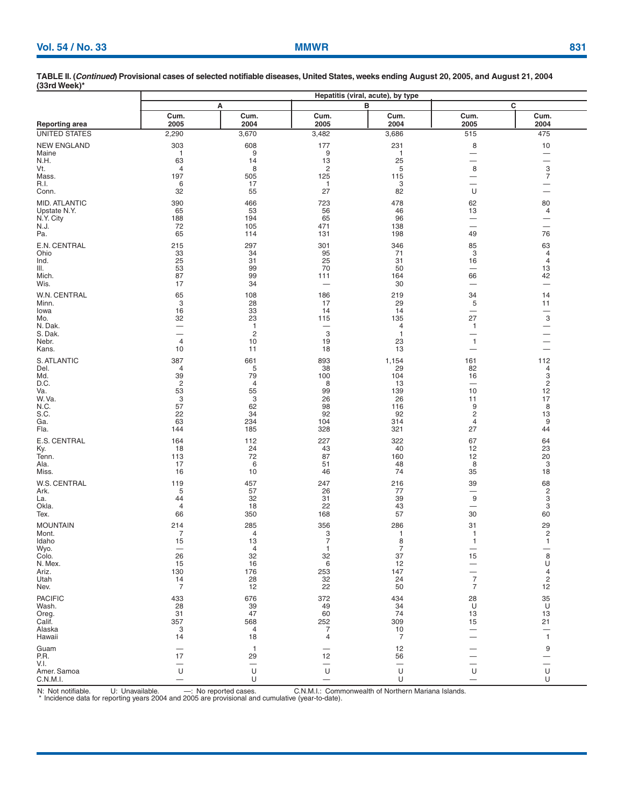| Vol. 54 / No. 33<br><b>MMWR</b> | 831 |
|---------------------------------|-----|
|---------------------------------|-----|

|                                                                                        | Hepatitis (viral, acute), by type                                    |                                                                     |                                                                          |                                                                  |                                                                               |                                                                                                      |  |  |  |
|----------------------------------------------------------------------------------------|----------------------------------------------------------------------|---------------------------------------------------------------------|--------------------------------------------------------------------------|------------------------------------------------------------------|-------------------------------------------------------------------------------|------------------------------------------------------------------------------------------------------|--|--|--|
|                                                                                        |                                                                      | А                                                                   |                                                                          | в                                                                | c                                                                             |                                                                                                      |  |  |  |
| <b>Reporting area</b>                                                                  | Cum.<br>2005                                                         | Cum.<br>2004                                                        | Cum.<br>2005                                                             | Cum.<br>2004                                                     | Cum.<br>2005                                                                  | Cum.<br>2004                                                                                         |  |  |  |
| UNITED STATES                                                                          | 2,290                                                                | 3,670                                                               | 3,482                                                                    | 3,686                                                            | 515                                                                           | 475                                                                                                  |  |  |  |
| <b>NEW ENGLAND</b><br>Maine<br>N.H.<br>Vt.<br>Mass.<br>R.I.<br>Conn.                   | 303<br>$\overline{1}$<br>63<br>4<br>197<br>6<br>32                   | 608<br>9<br>14<br>8<br>505<br>17<br>55                              | 177<br>9<br>13<br>$\overline{c}$<br>125<br>$\mathbf{1}$<br>27            | 231<br>$\overline{1}$<br>25<br>5<br>115<br>3<br>82               | 8<br>$\qquad \qquad -$<br>—<br>8<br>U                                         | 10<br>$\overline{\phantom{0}}$<br>$\frac{3}{7}$<br>—<br>$\overline{\phantom{0}}$                     |  |  |  |
| MID. ATLANTIC<br>Upstate N.Y.<br>N.Y. City<br>N.J.<br>Pa.                              | 390<br>65<br>188<br>72<br>65                                         | 466<br>53<br>194<br>105<br>114                                      | 723<br>56<br>65<br>471<br>131                                            | 478<br>46<br>96<br>138<br>198                                    | 62<br>13<br>—<br>—<br>49                                                      | 80<br>4<br>—<br>$\overline{\phantom{0}}$<br>76                                                       |  |  |  |
| E.N. CENTRAL<br>Ohio<br>Ind.<br>III.<br>Mich.<br>Wis.                                  | 215<br>33<br>25<br>53<br>87<br>17                                    | 297<br>34<br>31<br>99<br>99<br>34                                   | 301<br>95<br>25<br>70<br>111                                             | 346<br>71<br>31<br>50<br>164<br>30                               | 85<br>3<br>16<br>-<br>66                                                      | 63<br>4<br>4<br>13<br>42<br>$\overline{\phantom{0}}$                                                 |  |  |  |
| W.N. CENTRAL<br>Minn.<br>lowa<br>Mo.<br>N. Dak.<br>S. Dak.<br>Nebr.<br>Kans.           | 65<br>3<br>16<br>32<br>4<br>10                                       | 108<br>28<br>33<br>23<br>$\mathbf{1}$<br>$\overline{c}$<br>10<br>11 | 186<br>17<br>14<br>115<br>3<br>19<br>18                                  | 219<br>29<br>14<br>135<br>4<br>$\overline{1}$<br>23<br>13        | 34<br>5<br>$\qquad \qquad$<br>27<br>$\mathbf{1}$<br>—<br>$\mathbf{1}$         | 14<br>11<br>$\overbrace{\phantom{12333}}$<br>3<br>—<br>$\overline{\phantom{0}}$<br>$\qquad \qquad -$ |  |  |  |
| S. ATLANTIC<br>Del.<br>Md.<br>D.C.<br>Va.<br>W.Va.<br>N.C.<br>S.C.<br>Ga.<br>Fla.      | 387<br>4<br>39<br>$\overline{c}$<br>53<br>3<br>57<br>22<br>63<br>144 | 661<br>5<br>79<br>4<br>55<br>3<br>62<br>34<br>234<br>185            | 893<br>38<br>100<br>8<br>99<br>26<br>98<br>92<br>104<br>328              | 1,154<br>29<br>104<br>13<br>139<br>26<br>116<br>92<br>314<br>321 | 161<br>82<br>16<br>10<br>11<br>9<br>2<br>4<br>27                              | 112<br>4<br>3<br>$\overline{c}$<br>12<br>17<br>8<br>13<br>9<br>44                                    |  |  |  |
| E.S. CENTRAL<br>Ky.<br>Tenn.<br>Ala.<br>Miss.                                          | 164<br>18<br>113<br>17<br>16                                         | 112<br>24<br>72<br>6<br>10                                          | 227<br>43<br>87<br>51<br>46                                              | 322<br>40<br>160<br>48<br>74                                     | 67<br>12<br>12<br>8<br>35                                                     | 64<br>23<br>20<br>3<br>18                                                                            |  |  |  |
| W.S. CENTRAL<br>Ark.<br>La.<br>Okla.<br>Tex.                                           | 119<br>5<br>44<br>4<br>66                                            | 457<br>57<br>32<br>18<br>350                                        | 247<br>26<br>31<br>22<br>168                                             | 216<br>77<br>39<br>43<br>57                                      | 39<br>9<br>$\overline{\phantom{0}}$<br>30                                     | 68<br>$\overline{\mathbf{c}}$<br>3<br>3<br>60                                                        |  |  |  |
| <b>MOUNTAIN</b><br>Mont.<br>Idaho<br>Wyo.<br>Colo.<br>N. Mex.<br>Ariz.<br>Utah<br>Nev. | 214<br>7<br>15<br>26<br>15<br>130<br>14<br>$\overline{7}$            | 285<br>4<br>13<br>4<br>32<br>16<br>176<br>28<br>12                  | 356<br>3<br>$\overline{7}$<br>$\mathbf{1}$<br>32<br>6<br>253<br>32<br>22 | 286<br>1<br>8<br>7<br>37<br>12<br>147<br>24<br>50                | 31<br>$\mathbf{1}$<br>1<br>15<br>—<br>—<br>$\overline{7}$<br>$\boldsymbol{7}$ | 29<br>$\frac{2}{1}$<br>8<br>$\cup$<br>$\frac{4}{2}$<br>$1\overline{2}$                               |  |  |  |
| <b>PACIFIC</b><br>Wash.<br>Oreg.<br>Calif.<br>Alaska<br>Hawaii                         | 433<br>28<br>31<br>357<br>3<br>14                                    | 676<br>39<br>47<br>568<br>4<br>18                                   | 372<br>49<br>60<br>252<br>$\overline{7}$<br>4                            | 434<br>34<br>74<br>309<br>10<br>$\overline{7}$                   | 28<br>U<br>13<br>15                                                           | 35<br>U<br>13<br>21<br>—<br>$\mathbf{1}$                                                             |  |  |  |
| Guam<br>P.R.<br>V.I.<br>Amer. Samoa<br>C.N.M.I.                                        | 17<br>U                                                              | $\mathbf{1}$<br>29<br>U<br>U                                        | 12<br>$\overline{\phantom{0}}$<br>U                                      | 12<br>56<br>U<br>U                                               | U                                                                             | 9<br>$\overline{\phantom{0}}$<br>U<br>U                                                              |  |  |  |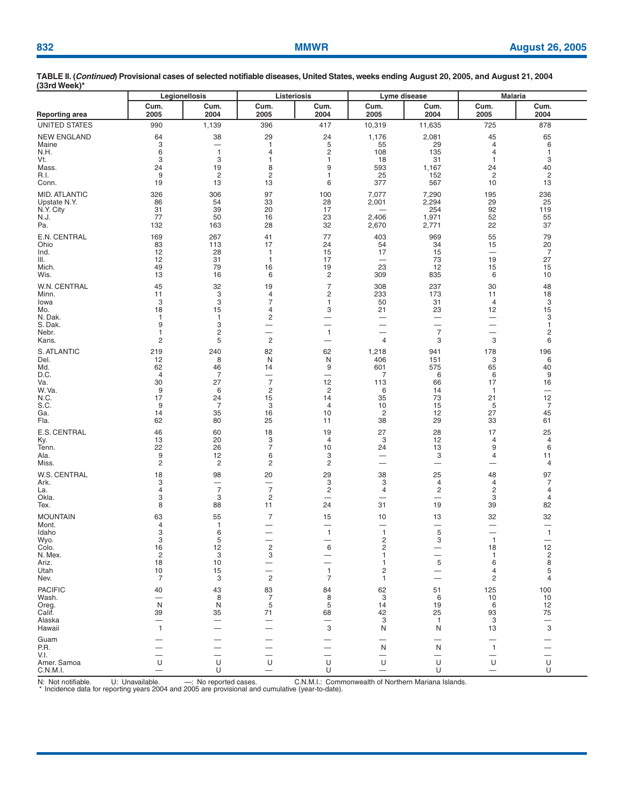| $1001$ and $1001$                                                                      | Legionellosis                                                           |                                                          |                                                                              | Listeriosis                                                    |                                                                    | Lyme disease                             | <b>Malaria</b>                                                           |                                                                                  |
|----------------------------------------------------------------------------------------|-------------------------------------------------------------------------|----------------------------------------------------------|------------------------------------------------------------------------------|----------------------------------------------------------------|--------------------------------------------------------------------|------------------------------------------|--------------------------------------------------------------------------|----------------------------------------------------------------------------------|
| Reporting area                                                                         | Cum.                                                                    | Cum.                                                     | Cum.                                                                         | Cum.                                                           | Cum.                                                               | Cum.                                     | Cum.                                                                     | Cum.                                                                             |
|                                                                                        | 2005                                                                    | 2004                                                     | 2005                                                                         | 2004                                                           | 2005                                                               | 2004                                     | 2005                                                                     | 2004                                                                             |
| <b>UNITED STATES</b>                                                                   | 990                                                                     | 1,139                                                    | 396                                                                          | 417                                                            | 10,319                                                             | 11,635                                   | 725                                                                      | 878                                                                              |
| <b>NEW ENGLAND</b>                                                                     | 64                                                                      | 38                                                       | 29                                                                           | 24                                                             | 1,176                                                              | 2,081                                    | 45                                                                       | 65                                                                               |
| Maine                                                                                  | 3                                                                       | $\overline{\phantom{0}}$                                 | $\mathbf{1}$                                                                 | 5                                                              | 55                                                                 | 29                                       | 4                                                                        | 6                                                                                |
| N.H.                                                                                   | 6                                                                       | $\mathbf{1}$                                             | $\overline{4}$                                                               | $\overline{c}$                                                 | 108                                                                | 135                                      | 4                                                                        | 1                                                                                |
| Vt.                                                                                    | 3                                                                       | 3                                                        | 1                                                                            | 1                                                              | 18                                                                 | 31                                       | 1                                                                        | 3                                                                                |
| Mass.                                                                                  | 24                                                                      | 19                                                       | 8                                                                            | 9                                                              | 593                                                                | 1,167                                    | 24                                                                       | 40                                                                               |
| R.I.                                                                                   | 9                                                                       | $\overline{2}$                                           | $\overline{2}$                                                               | 1                                                              | 25                                                                 | 152                                      | 2                                                                        | $\overline{2}$                                                                   |
| Conn.                                                                                  | 19                                                                      | 13                                                       | 13                                                                           | 6                                                              | 377                                                                | 567                                      | 10                                                                       | 13                                                                               |
| MID. ATLANTIC<br>Upstate N.Y.<br>N.Y. City<br>N.J.<br>Pa.                              | 326<br>86<br>31<br>77<br>132                                            | 306<br>54<br>39<br>50<br>163                             | 97<br>33<br>20<br>16<br>28                                                   | 100<br>28<br>17<br>23<br>32                                    | 7,077<br>2,001<br>2,406<br>2,670                                   | 7,290<br>2,294<br>254<br>1,971<br>2,771  | 195<br>29<br>92<br>52<br>22                                              | 236<br>25<br>119<br>55<br>37                                                     |
| E.N. CENTRAL                                                                           | 169                                                                     | 267                                                      | 41                                                                           | 77                                                             | 403                                                                | 969                                      | 55                                                                       | 79                                                                               |
| Ohio                                                                                   | 83                                                                      | 113                                                      | 17                                                                           | 24                                                             | 54                                                                 | 34                                       | 15                                                                       | 20                                                                               |
| Ind.                                                                                   | 12                                                                      | 28                                                       | $\mathbf{1}$                                                                 | 15                                                             | 17                                                                 | 15                                       | $\overline{\phantom{0}}$                                                 | $\overline{7}$                                                                   |
| III.                                                                                   | 12                                                                      | 31                                                       | $\mathbf{1}$                                                                 | 17                                                             |                                                                    | 73                                       | 19                                                                       | 27                                                                               |
| Mich.                                                                                  | 49                                                                      | 79                                                       | 16                                                                           | 19                                                             | 23                                                                 | 12                                       | 15                                                                       | 15                                                                               |
| Wis.                                                                                   | 13                                                                      | 16                                                       | 6                                                                            | $\overline{c}$                                                 | 309                                                                | 835                                      | 6                                                                        | 10                                                                               |
| W.N. CENTRAL                                                                           | 45                                                                      | 32                                                       | 19                                                                           | $\overline{7}$                                                 | 308                                                                | 237                                      | 30                                                                       | 48                                                                               |
| Minn.                                                                                  | 11                                                                      | 3                                                        | 4                                                                            | $\overline{c}$                                                 | 233                                                                | 173                                      | 11                                                                       | 18                                                                               |
| Iowa                                                                                   | 3                                                                       | 3                                                        | $\overline{7}$                                                               | 1                                                              | 50                                                                 | 31                                       | 4                                                                        | 3                                                                                |
| Mo.                                                                                    | 18                                                                      | 15                                                       | 4                                                                            | 3                                                              | 21                                                                 | 23                                       | 12                                                                       | 15                                                                               |
| N. Dak.                                                                                | $\mathbf{1}$                                                            | $\mathbf{1}$                                             | $\overline{\mathbf{c}}$                                                      | —                                                              | -                                                                  | $\overbrace{\phantom{123221111}}$        | $\overbrace{\phantom{123221111}}$                                        | 3                                                                                |
| S. Dak.                                                                                | 9                                                                       | 3                                                        | $\overline{\phantom{0}}$                                                     |                                                                | $\overline{\phantom{0}}$                                           |                                          | $\overline{\phantom{m}}$                                                 | 1                                                                                |
| Nebr.                                                                                  | $\mathbf{1}$                                                            | $\overline{\mathbf{c}}$                                  | $\overline{\phantom{0}}$                                                     | $\mathbf{1}$                                                   | $\overline{\phantom{0}}$                                           | $\overline{7}$                           | $\overline{\phantom{0}}$                                                 | 2                                                                                |
| Kans.                                                                                  | $\overline{2}$                                                          | 5                                                        | $\overline{c}$                                                               | $\overline{\phantom{0}}$                                       | 4                                                                  | 3                                        | 3                                                                        | 6                                                                                |
| S. ATLANTIC                                                                            | 219                                                                     | 240                                                      | 82                                                                           | 62                                                             | 1,218                                                              | 941                                      | 178                                                                      | 196                                                                              |
| Del.                                                                                   | 12                                                                      | 8                                                        | N                                                                            | N                                                              | 406                                                                | 151                                      | 3                                                                        | 6                                                                                |
| Md.                                                                                    | 62                                                                      | 46                                                       | 14                                                                           | 9                                                              | 601                                                                | 575                                      | 65                                                                       | 40                                                                               |
| D.C.                                                                                   | $\overline{4}$                                                          | 7                                                        | $\overline{\phantom{m}}$                                                     | $\overline{\phantom{0}}$                                       | 7                                                                  | 6                                        | 6                                                                        | 9                                                                                |
| Va.                                                                                    | 30                                                                      | 27                                                       | $\overline{7}$                                                               | 12                                                             | 113                                                                | 66                                       | 17                                                                       | 16                                                                               |
| W.Va.                                                                                  | 9                                                                       | 6                                                        | 2                                                                            | 2                                                              | 6                                                                  | 14                                       | $\mathbf{1}$                                                             | $\overline{\phantom{0}}$                                                         |
| N.C.                                                                                   | 17                                                                      | 24                                                       | 15                                                                           | 14                                                             | 35                                                                 | 73                                       | 21                                                                       | 12                                                                               |
| S.C.                                                                                   | 9                                                                       | $\overline{7}$                                           | 3                                                                            | 4                                                              | 10                                                                 | 15                                       | 5                                                                        | $\overline{7}$                                                                   |
| Ga.                                                                                    | 14                                                                      | 35                                                       | 16                                                                           | 10                                                             | 2                                                                  | 12                                       | 27                                                                       | 45                                                                               |
| Fla.                                                                                   | 62                                                                      | 80                                                       | 25                                                                           | 11                                                             | 38                                                                 | 29                                       | 33                                                                       | 61                                                                               |
| E.S. CENTRAL                                                                           | 46                                                                      | 60                                                       | 18                                                                           | 19                                                             | 27                                                                 | 28                                       | 17                                                                       | 25                                                                               |
| Ky.                                                                                    | 13                                                                      | 20                                                       | 3                                                                            | $\overline{4}$                                                 | 3                                                                  | 12                                       | 4                                                                        | 4                                                                                |
| Tenn.                                                                                  | 22                                                                      | 26                                                       | $\overline{7}$                                                               | 10                                                             | 24                                                                 | 13                                       | 9                                                                        | 6                                                                                |
| Ala.                                                                                   | 9                                                                       | 12                                                       | 6                                                                            | 3                                                              | -                                                                  | 3                                        | 4                                                                        | 11                                                                               |
| Miss.                                                                                  | $\overline{c}$                                                          | $\overline{c}$                                           | $\overline{c}$                                                               | $\overline{c}$                                                 |                                                                    |                                          | —                                                                        | 4                                                                                |
| W.S. CENTRAL                                                                           | 18                                                                      | 98                                                       | 20                                                                           | 29                                                             | 38                                                                 | 25                                       | 48                                                                       | 97                                                                               |
| Ark.                                                                                   | 3                                                                       |                                                          | $\qquad \qquad -$                                                            | 3                                                              | 3                                                                  | 4                                        | 4                                                                        | 7                                                                                |
| La.                                                                                    | 4                                                                       | $\overline{7}$                                           | $\overline{7}$                                                               | $\overline{c}$                                                 | 4                                                                  | 2                                        | $\overline{c}$                                                           | 4                                                                                |
| Okla.                                                                                  | 3                                                                       | 3                                                        | $\overline{c}$                                                               | $\overline{\phantom{m}}$                                       | -                                                                  | -                                        | 3                                                                        | 4                                                                                |
| Tex.                                                                                   | 8                                                                       | 88                                                       | 11                                                                           | 24                                                             | 31                                                                 | 19                                       | 39                                                                       | 82                                                                               |
| <b>MOUNTAIN</b><br>Mont.<br>Idaho<br>Wyo.<br>Colo.<br>N. Mex.<br>Ariz.<br>Utah<br>Nev. | 63<br>$\overline{4}$<br>3<br>3<br>16<br>$\overline{c}$<br>18<br>10<br>7 | 55<br>$\mathbf{1}$<br>6<br>5<br>12<br>3<br>10<br>15<br>3 | $\overline{7}$<br>-<br>-<br>2<br>3<br>$\overline{\phantom{0}}$<br>$\sqrt{2}$ | 15<br>$\mathbf{1}$<br>6<br>—<br>$\mathbf{1}$<br>$\overline{7}$ | 10<br>-<br>$\mathbf{1}$<br>2<br>2<br>1<br>1<br>$\overline{c}$<br>1 | 13<br>-<br>5<br>3<br>5                   | 32<br>$\overline{\phantom{0}}$<br>$\mathbf{1}$<br>18<br>1<br>6<br>4<br>2 | 32<br>-<br>$\mathbf{1}$<br>$\begin{array}{c} 12 \\ 2 \\ 8 \\ 5 \end{array}$<br>4 |
| <b>PACIFIC</b><br>Wash.<br>Oreg.<br>Calif.<br>Alaska<br>Hawaii                         | 40<br>N<br>39<br>$\mathbf{1}$                                           | 43<br>8<br>N<br>35                                       | 83<br>$\overline{7}$<br>5<br>71                                              | 84<br>$\,8\,$<br>5<br>68<br>3                                  | 62<br>3<br>14<br>42<br>3<br>N                                      | 51<br>6<br>19<br>25<br>$\mathbf{1}$<br>N | 125<br>10<br>6<br>93<br>3<br>13                                          | 100<br>10<br>12<br>75<br>—<br>$\ensuremath{\mathsf{3}}$                          |
| Guam<br>P.R.<br>V.I.<br>Amer. Samoa<br>C.N.M.I.                                        | U                                                                       | U<br>U                                                   | $\overline{\phantom{0}}$<br>U<br>$\overline{\phantom{0}}$                    | $\overline{\phantom{0}}$<br>U<br>U                             | N<br>U                                                             | N<br>U<br>U                              | 1<br>—<br>U<br>—                                                         | $\overline{\phantom{0}}$<br>U<br>U                                               |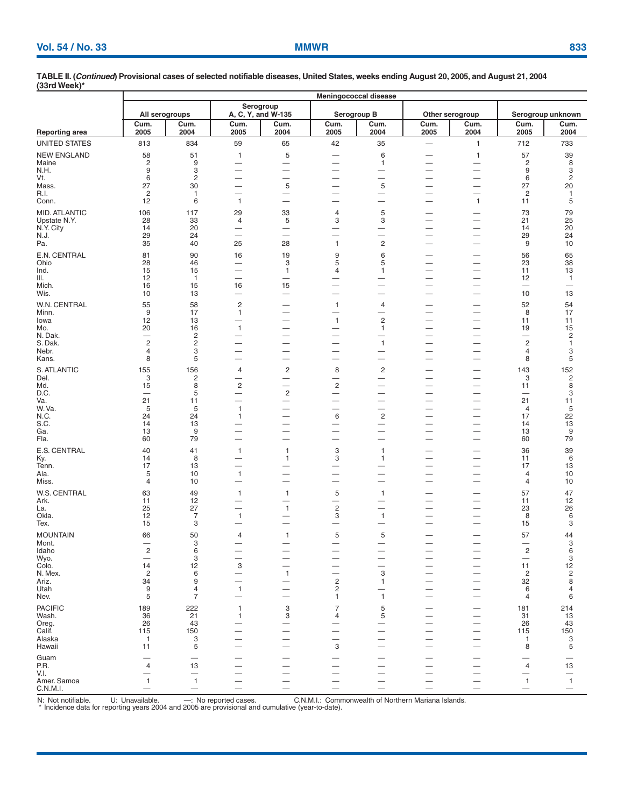|                           | Meningococcal disease   |                                  |                                                      |                                               |                                                      |                                         |                                                      |                               |                                |                       |
|---------------------------|-------------------------|----------------------------------|------------------------------------------------------|-----------------------------------------------|------------------------------------------------------|-----------------------------------------|------------------------------------------------------|-------------------------------|--------------------------------|-----------------------|
|                           | All serogroups          |                                  |                                                      | Serogroup<br>A, C, Y, and W-135               | Serogroup B                                          |                                         | Other serogroup                                      |                               |                                | Serogroup unknown     |
| <b>Reporting area</b>     | Cum.<br>2005            | Cum.<br>2004                     | Cum.<br>2005                                         | Cum.<br>2004                                  | Cum.<br>2005                                         | Cum.<br>2004                            | Cum.<br>2005                                         | Cum.<br>2004                  | Cum.<br>2005                   | Cum.<br>2004          |
| UNITED STATES             | 813                     | 834                              | 59                                                   | 65                                            | 42                                                   | 35                                      | $\qquad \qquad -$                                    | 1                             | 712                            | 733                   |
| <b>NEW ENGLAND</b>        | 58                      | 51                               | $\mathbf{1}$                                         | 5                                             |                                                      | 6                                       |                                                      | $\mathbf{1}$                  | 57                             | 39                    |
| Maine<br>N.H.             | $\overline{c}$<br>9     | 9<br>3                           | $\overline{\phantom{0}}$                             | $\overline{\phantom{0}}$<br>$\qquad \qquad -$ | $\overline{\phantom{0}}$<br>-                        | 1                                       | $\overline{\phantom{0}}$                             | $\overline{\phantom{m}}$      | 2<br>9                         | 8<br>3                |
| Vt.                       | 6                       | $\overline{c}$                   | $\overline{\phantom{0}}$                             | $\overline{\phantom{0}}$                      | -                                                    | $\overline{\phantom{0}}$                | —                                                    | $\overline{\phantom{0}}$      | 6                              | $\overline{c}$        |
| Mass.<br>R.I.             | 27<br>2                 | 30<br>$\mathbf{1}$               | $\overline{\phantom{0}}$<br>$\overline{\phantom{0}}$ | $\mathbf 5$<br>$\qquad \qquad -$              | $\overline{\phantom{0}}$<br>—                        | $\mathbf 5$<br>—                        | $\overline{\phantom{0}}$<br>$\qquad \qquad -$        | $\overline{\phantom{0}}$      | 27<br>$\overline{c}$           | 20<br>-1              |
| Conn.                     | 12                      | 6                                | $\mathbf{1}$                                         |                                               | —                                                    |                                         | $\overline{\phantom{0}}$                             | $\mathbf{1}$                  | 11                             | 5                     |
| MID. ATLANTIC             | 106                     | 117                              | 29                                                   | 33                                            | 4                                                    | 5                                       | —                                                    | -                             | 73                             | 79                    |
| Upstate N.Y.<br>N.Y. City | 28<br>14                | 33<br>20                         | 4                                                    | 5<br>$\qquad \qquad -$                        | 3<br>$\overline{\phantom{0}}$                        | 3<br>$\overline{\phantom{0}}$           | $\overline{\phantom{0}}$<br>$\overline{\phantom{0}}$ | -                             | 21<br>14                       | 25<br>20              |
| N.J.                      | 29                      | 24                               |                                                      | $\overline{\phantom{0}}$                      | -                                                    | $\overline{\phantom{0}}$                | $\overline{\phantom{0}}$                             | —                             | 29                             | 24                    |
| Pa.                       | 35                      | 40                               | 25                                                   | 28                                            | 1                                                    | $\overline{c}$                          | —<br>—                                               |                               | 9                              | 10                    |
| E.N. CENTRAL<br>Ohio      | 81<br>28                | 90<br>46                         | 16<br>$\overline{\phantom{0}}$                       | 19<br>3                                       | 9<br>5                                               | 6<br>5                                  | $\overline{\phantom{0}}$<br>$\overline{\phantom{0}}$ | -                             | 56<br>23                       | 65<br>38              |
| Ind.                      | 15                      | 15                               |                                                      | $\mathbf{1}$                                  | 4                                                    | 1                                       | $\overline{\phantom{0}}$                             | $\overline{\phantom{0}}$      | 11                             | 13                    |
| III.                      | 12                      | $\overline{1}$                   |                                                      |                                               |                                                      |                                         | $\overline{\phantom{0}}$                             |                               | 12                             | $\mathbf{1}$          |
| Mich.<br>Wis.             | 16<br>10                | 15<br>13                         | 16<br>-                                              | 15                                            | $\overline{\phantom{0}}$<br>—                        | $\overline{\phantom{0}}$<br>—           | $\overline{\phantom{0}}$                             | $\overline{\phantom{m}}$      | $\overline{\phantom{0}}$<br>10 | —<br>13               |
| W.N. CENTRAL              | 55                      | 58                               | $\overline{c}$                                       |                                               | 1                                                    | 4                                       | $\overline{\phantom{0}}$                             |                               | 52                             | 54                    |
| Minn.<br>lowa             | 9<br>12                 | 17<br>13                         | 1<br>$\overline{\phantom{0}}$                        |                                               | $\mathbf{1}$                                         | —<br>$\overline{c}$                     | $\overline{\phantom{0}}$<br>$\overline{\phantom{0}}$ | -                             | 8<br>11                        | 17<br>11              |
| Mo.                       | 20                      | 16                               | $\mathbf{1}$                                         | $\qquad \qquad -$                             | —                                                    | 1                                       |                                                      | $\overline{\phantom{0}}$      | 19                             | 15                    |
| N. Dak.<br>S. Dak.        | $\overline{c}$          | $\overline{c}$<br>$\overline{c}$ | $\overbrace{\phantom{12333}}$<br>—                   |                                               | —<br>$\overline{\phantom{0}}$                        | -<br>$\mathbf{1}$                       |                                                      | $\overline{\phantom{0}}$      | -<br>$\overline{\mathbf{c}}$   | 2<br>$\mathbf{1}$     |
| Nebr.                     | 4                       | 3                                |                                                      | $\qquad \qquad -$                             | —                                                    | —                                       |                                                      |                               | 4                              | 3                     |
| Kans.                     | 8                       | 5                                | $\overline{\phantom{0}}$                             |                                               | -                                                    | —                                       | $\overline{\phantom{0}}$                             | -                             | 8                              | 5                     |
| S. ATLANTIC<br>Del.       | 155<br>3                | 156<br>2                         | 4<br>—                                               | $\overline{c}$                                | 8<br>—                                               | 2<br>$\overline{\phantom{0}}$           | —                                                    | -<br>$\overline{\phantom{0}}$ | 143<br>3                       | 152<br>$\overline{c}$ |
| Md.                       | 15                      | 8                                | $\sqrt{2}$                                           |                                               | $\overline{\mathbf{c}}$                              | $\overline{\phantom{0}}$                | -                                                    | —                             | 11                             | 8                     |
| D.C.<br>Va.               | 21                      | 5<br>11                          | $\overline{\phantom{0}}$<br>$\overline{\phantom{0}}$ | $\overline{c}$                                | $\overline{\phantom{0}}$<br>$\overline{\phantom{0}}$ | -<br>—                                  | -<br>—                                               | -<br>—                        | —<br>21                        | 3<br>11               |
| W.Va.                     | 5                       | 5                                | $\mathbf{1}$                                         |                                               | —                                                    | $\overline{\phantom{0}}$                | $\overline{\phantom{0}}$                             | $\overline{\phantom{0}}$      | $\overline{4}$                 | 5                     |
| N.C.<br>S.C.              | 24<br>14                | 24<br>13                         | $\mathbf{1}$<br>—                                    | —                                             | 6<br>-                                               | $\mathbf 2$<br>$\overline{\phantom{0}}$ | $\overline{\phantom{0}}$<br>$\overline{\phantom{0}}$ | -                             | 17<br>14                       | 22<br>13              |
| Ga.                       | 13                      | 9                                | $\overline{\phantom{0}}$                             |                                               | ÷.                                                   | —                                       |                                                      |                               | 13                             | 9                     |
| Fla.                      | 60                      | 79                               | $\overline{\phantom{0}}$                             | $\overline{\phantom{0}}$                      | $\overline{\phantom{0}}$                             | $\overline{\phantom{0}}$                | $\overline{\phantom{0}}$                             |                               | 60                             | 79                    |
| E.S. CENTRAL<br>Ky.       | 40<br>14                | 41<br>8                          | $\mathbf{1}$<br>-                                    | $\mathbf{1}$<br>1                             | 3<br>3                                               | 1<br>1                                  | —                                                    | —<br>-                        | 36<br>11                       | 39<br>6               |
| Tenn.                     | 17                      | 13                               |                                                      |                                               | —                                                    |                                         | —                                                    | $\overline{\phantom{0}}$      | 17                             | 13                    |
| Ala.                      | 5<br>4                  | 10<br>10                         | $\mathbf{1}$                                         | $\overline{\phantom{0}}$                      | —                                                    | —                                       | $\overline{\phantom{0}}$                             |                               | 4                              | 10                    |
| Miss.                     |                         |                                  | $\overline{\phantom{0}}$                             |                                               | —                                                    | -                                       |                                                      | -                             | 4                              | 10                    |
| W.S. CENTRAL<br>Ark.      | 63<br>11                | 49<br>12                         | $\overline{1}$<br>$\overline{\phantom{0}}$           | $\mathbf{1}$                                  | 5<br>—                                               | 1<br>—                                  |                                                      | —<br>$\overline{\phantom{0}}$ | 57<br>11                       | 47<br>12              |
| La.                       | 25                      | 27                               | $\overline{\phantom{0}}$                             | $\mathbf{1}$                                  | $\overline{c}$                                       | $\overline{\phantom{0}}$                |                                                      | $\overline{\phantom{0}}$      | 23                             | 26                    |
| Okla.<br>Tex.             | 12<br>15                | $\overline{7}$<br>3              | $\mathbf{1}$<br>$\overline{\phantom{0}}$             |                                               | 3<br>$\overline{\phantom{0}}$                        | $\mathbf{1}$                            | $\overline{\phantom{0}}$                             | $\overline{\phantom{0}}$      | 8<br>15                        | 6<br>3                |
| <b>MOUNTAIN</b>           | 66                      | 50                               | 4                                                    | 1                                             | 5                                                    | 5                                       | $\overline{\phantom{0}}$                             |                               | 57                             | 44                    |
| Mont.                     |                         | 3                                | -                                                    |                                               | —                                                    |                                         |                                                      |                               |                                | 3                     |
| Idaho<br>Wyo.             | $\overline{\mathbf{c}}$ | 6<br>3                           | $\overline{\phantom{0}}$                             |                                               |                                                      |                                         |                                                      |                               | $\overline{\mathbf{c}}$        | 6<br>3                |
| Colo.                     | 14                      | 12                               | 3                                                    |                                               |                                                      |                                         | $\overline{\phantom{a}}$                             |                               | 11                             | 12                    |
| N. Mex.<br>Ariz.          | $\overline{2}$<br>34    | 6<br>9                           | $\qquad \qquad -$<br>$\overline{\phantom{0}}$        | $\mathbf{1}$                                  | $\overline{c}$                                       | 3<br>1                                  | -                                                    | -                             | $\overline{2}$<br>32           | 2<br>8                |
| Utah                      | 9                       | 4                                | $\mathbf{1}$                                         |                                               | 2                                                    |                                         |                                                      |                               | 6                              | 4                     |
| Nev.                      | 5                       | $\overline{7}$                   |                                                      |                                               | 1.                                                   | 1                                       | $\overline{\phantom{0}}$                             |                               | 4                              | 6                     |
| <b>PACIFIC</b><br>Wash.   | 189<br>36               | 222<br>21                        | $\mathbf{1}$<br>$\mathbf{1}$                         | 3<br>3                                        | $\overline{7}$<br>4                                  | 5<br>5                                  | —<br>—                                               |                               | 181<br>31                      | 214<br>13             |
| Oreg.                     | 26                      | 43                               | -                                                    | $\overline{\phantom{0}}$                      |                                                      |                                         |                                                      | —                             | 26                             | 43                    |
| Calif.                    | 115                     | 150                              | $\overline{\phantom{0}}$                             |                                               |                                                      |                                         | —                                                    | $\overline{\phantom{a}}$      | 115                            | 150                   |
| Alaska<br>Hawaii          | $\overline{1}$<br>11    | 3<br>5                           |                                                      | -                                             | 3                                                    | -                                       | —                                                    |                               | -1<br>8                        | 3<br>5                |
| Guam                      |                         | $\overline{\phantom{0}}$         |                                                      |                                               |                                                      |                                         |                                                      |                               |                                |                       |
| P.R.                      | 4                       | 13                               | $\overline{\phantom{0}}$                             | $\overline{\phantom{0}}$                      | —                                                    | —                                       | —                                                    |                               | 4                              | 13                    |
| V.I.<br>Amer. Samoa       | -<br>1                  | $\mathbf{1}$                     | $\qquad \qquad -$                                    | $\qquad \qquad -$                             | $\overline{\phantom{0}}$                             | -<br>$\overline{\phantom{0}}$           | —                                                    | —                             | —<br>$\mathbf{1}$              | —<br>$\mathbf{1}$     |
| C.N.M.I.                  |                         |                                  | $\overline{\phantom{0}}$                             |                                               |                                                      | $\overline{\phantom{0}}$                | $\overline{\phantom{0}}$                             |                               |                                |                       |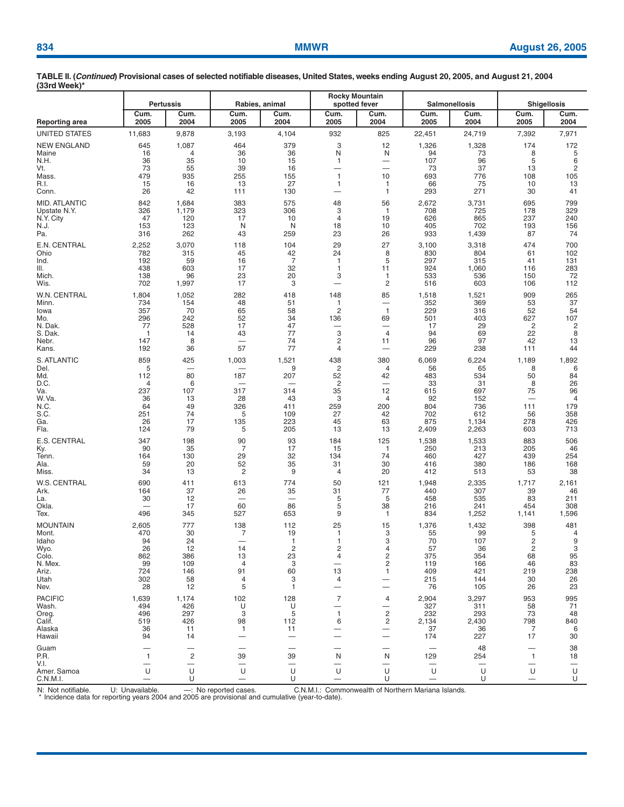|                            | <b>Pertussis</b>         |                                                 |                                | Rabies, animal | <b>Rocky Mountain</b><br>spotted fever |                               |                   | <b>Salmonellosis</b> | <b>Shigellosis</b>                 |                                     |  |
|----------------------------|--------------------------|-------------------------------------------------|--------------------------------|----------------|----------------------------------------|-------------------------------|-------------------|----------------------|------------------------------------|-------------------------------------|--|
| <b>Reporting area</b>      | Cum.<br>2005             | Cum.<br>2004                                    | Cum.<br>2005                   | Cum.<br>2004   | Cum.<br>2005                           | Cum.<br>2004                  | Cum.<br>2005      | Cum.<br>2004         | Cum.<br>2005                       | Cum.<br>2004                        |  |
| UNITED STATES              | 11,683                   | 9,878                                           | 3,193                          | 4,104          | 932                                    | 825                           | 22,451            | 24,719               | 7,392                              | 7,971                               |  |
| NEW ENGLAND                | 645                      | 1,087                                           | 464                            | 379            | 3                                      | 12                            | 1,326             | 1,328                | 174                                | 172                                 |  |
| Maine<br>N.H.              | 16<br>36                 | 4<br>35                                         | 36<br>10                       | 36<br>15       | N<br>$\mathbf{1}$                      | N<br>$\overline{\phantom{0}}$ | 94<br>107         | 73<br>96             | 8<br>5                             | 5<br>6                              |  |
| Vt.                        | 73                       | 55                                              | 39                             | 16             | $\overline{\phantom{0}}$               | $\overline{\phantom{0}}$      | 73                | 37                   | 13                                 | $\overline{\mathbf{c}}$             |  |
| Mass.<br>R.I.              | 479<br>15                | 935<br>16                                       | 255<br>13                      | 155<br>27      | $\mathbf{1}$<br>1                      | 10<br>-1                      | 693<br>66         | 776<br>75            | 108<br>10                          | 105<br>13                           |  |
| Conn.                      | 26                       | 42                                              | 111                            | 130            | -                                      | $\mathbf{1}$                  | 293               | 271                  | 30                                 | 41                                  |  |
| <b>MID. ATLANTIC</b>       | 842                      | 1,684                                           | 383                            | 575            | 48                                     | 56                            | 2,672             | 3,731                | 695                                | 799                                 |  |
| Upstate N.Y.               | 326                      | 1,179                                           | 323                            | 306            | 3                                      | $\mathbf{1}$                  | 708               | 725                  | 178                                | 329                                 |  |
| N.Y. City<br>N.J.          | 47<br>153                | 120<br>123                                      | 17<br>N                        | 10<br>N        | $\overline{4}$<br>18                   | 19<br>10                      | 626<br>405        | 865<br>702           | 237<br>193                         | 240<br>156                          |  |
| Pa.                        | 316                      | 262                                             | 43                             | 259            | 23                                     | 26                            | 933               | 1,439                | 87                                 | 74                                  |  |
| E.N. CENTRAL               | 2,252                    | 3,070                                           | 118                            | 104            | 29                                     | 27                            | 3,100             | 3,318                | 474                                | 700                                 |  |
| Ohio<br>lnd.               | 782<br>192               | 315<br>59                                       | 45<br>16                       | 42<br>7        | 24<br>$\mathbf{1}$                     | 8<br>5                        | 830<br>297        | 804<br>315           | 61<br>41                           | 102<br>131                          |  |
| III.                       | 438                      | 603                                             | 17                             | 32             | $\mathbf{1}$                           | 11                            | 924               | 1,060                | 116                                | 283                                 |  |
| Mich.                      | 138                      | 96                                              | 23                             | 20             | 3                                      | 1                             | 533               | 536                  | 150                                | 72                                  |  |
| Wis.                       | 702                      | 1,997                                           | 17                             | 3              | $\overline{\phantom{0}}$               | 2                             | 516               | 603                  | 106                                | 112                                 |  |
| W.N. CENTRAL<br>Minn.      | 1,804<br>734             | 1,052<br>154                                    | 282<br>48                      | 418<br>51      | 148<br>1                               | 85                            | 1,518<br>352      | 1,521<br>369         | 909<br>53                          | 265<br>37                           |  |
| lowa                       | 357                      | 70                                              | 65                             | 58             | $\overline{c}$                         | $\overline{1}$                | 229               | 316                  | 52                                 | 54                                  |  |
| Mo.                        | 296                      | 242                                             | 52                             | 34             | 136                                    | 69                            | 501               | 403                  | 627                                | 107                                 |  |
| N. Dak.<br>S. Dak.         | 77<br>-1                 | 528<br>14                                       | 17<br>43                       | 47<br>77       | 3                                      | $\overline{\phantom{0}}$<br>4 | 17<br>94          | 29<br>69             | 2<br>22                            | 2<br>8                              |  |
| Nebr.                      | 147                      | 8                                               | —                              | 74             | $\overline{c}$                         | 11                            | 96                | 97                   | 42                                 | 13                                  |  |
| Kans.                      | 192                      | 36                                              | 57                             | 77             | 4                                      | $\overline{\phantom{0}}$      | 229               | 238                  | 111                                | 44                                  |  |
| <b>S. ATLANTIC</b><br>Del. | 859<br>5                 | 425                                             | 1,003                          | 1,521<br>9     | 438<br>2                               | 380<br>4                      | 6,069<br>56       | 6,224<br>65          | 1,189<br>8                         | 1,892<br>6                          |  |
| Md.                        | 112                      | 80                                              | 187                            | 207            | 52                                     | 42                            | 483               | 534                  | 50                                 | 84                                  |  |
| D.C.                       | 4                        | 6                                               |                                |                | $\overline{2}$                         | $\overline{\phantom{0}}$      | 33                | 31                   | 8                                  | 26                                  |  |
| Va.<br>W. Va.              | 237<br>36                | 107<br>13                                       | 317<br>28                      | 314<br>43      | 35<br>3                                | 12<br>4                       | 615<br>92         | 697<br>152           | 75<br>$\overline{\phantom{0}}$     | 96<br>$\overline{4}$                |  |
| N.C.                       | 64                       | 49                                              | 326                            | 411            | 259                                    | 200                           | 804               | 736                  | 111                                | 179                                 |  |
| S.C.                       | 251<br>26                | 74<br>17                                        | 5                              | 109<br>223     | 27<br>45                               | 42<br>63                      | 702<br>875        | 612<br>1,134         | 56<br>278                          | 358<br>426                          |  |
| Ga.<br>Fla.                | 124                      | 79                                              | 135<br>5                       | 205            | 13                                     | 13                            | 2,409             | 2,263                | 603                                | 713                                 |  |
| E.S. CENTRAL               | 347                      | 198                                             | 90                             | 93             | 184                                    | 125                           | 1,538             | 1,533                | 883                                | 506                                 |  |
| Ky.                        | 90                       | 35                                              | 7                              | 17             | 15                                     | $\mathbf{1}$                  | 250               | 213                  | 205                                | 46                                  |  |
| Tenn.<br>Ala.              | 164<br>59                | 130<br>20                                       | 29<br>52                       | 32<br>35       | 134<br>31                              | 74<br>30                      | 460<br>416        | 427<br>380           | 439<br>186                         | 254<br>168                          |  |
| Miss.                      | 34                       | 13                                              | 2                              | 9              | 4                                      | 20                            | 412               | 513                  | 53                                 | 38                                  |  |
| W.S. CENTRAL               | 690                      | 411                                             | 613                            | 774            | 50                                     | 121                           | 1,948             | 2,335                | 1,717                              | 2,161                               |  |
| Ark.<br>La.                | 164<br>30                | 37<br>12                                        | 26<br>$\overline{\phantom{0}}$ | 35<br>—        | 31<br>5                                | 77<br>5                       | 440<br>458        | 307<br>535           | 39<br>83                           | 46<br>211                           |  |
| Okla.                      |                          | 17                                              | 60                             | 86             | 5                                      | 38                            | 216               | 241                  | 454                                | 308                                 |  |
| Tex.                       | 496                      | 345                                             | 527                            | 653            | 9                                      | $\mathbf{1}$                  | 834               | 1,252                | 1,141                              | 1,596                               |  |
| <b>MOUNTAIN</b><br>Mont.   | 2,605<br>470             | 777<br>30                                       | 138<br>7                       | 112<br>19      | 25<br>1                                | 15<br>3                       | 1,376<br>55       | 1,432<br>99          | 398<br>5                           | 481<br>4                            |  |
| Idaho                      | 94                       | 24                                              | $\overline{\phantom{0}}$       | 1              | $\mathbf{1}$                           | 3                             | 70                | 107                  | 2                                  | 9                                   |  |
| Wyo.                       | 26                       | 12                                              | 14                             | $\overline{2}$ | 2                                      | 4                             | 57                | 36                   | $\overline{c}$                     | 3                                   |  |
| Colo.<br>N. Mex.           | 862<br>99                | 386<br>109                                      | 13<br>4                        | 23<br>3        | 4<br>$\overline{\phantom{0}}$          | 2<br>2                        | 375<br>119        | 354<br>166           | 68<br>46                           | 95<br>83                            |  |
| Ariz.                      | 724                      | 146                                             | 91                             | 60             | 13                                     | $\mathbf{1}$                  | 409               | 421                  | 219                                | 238                                 |  |
| Utah<br>Nev.               | 302<br>28                | 58<br>12                                        | 4<br>5                         | 3<br>-1        | 4                                      | $\overline{\phantom{0}}$      | 215<br>76         | 144<br>105           | 30<br>26                           | 26<br>23                            |  |
| <b>PACIFIC</b>             | 1,639                    | 1,174                                           | 102                            | 128            | $\overline{7}$                         | 4                             | 2,904             | 3,297                | 953                                | 995                                 |  |
| Wash.                      | 494                      | 426                                             | U                              | U              |                                        | $\overline{\phantom{0}}$      | 327               | 311                  | 58                                 | 71                                  |  |
| Oreg.                      | 496                      | 297                                             | 3                              | 5              | 1                                      | 2                             | 232               | 293                  | 73                                 | 48                                  |  |
| Calif.<br>Alaska           | 519<br>36                | 426<br>11                                       | 98<br>$\overline{1}$           | 112<br>11      | 6                                      | 2<br>$\overline{\phantom{0}}$ | 2,134<br>37       | 2,430<br>36          | 798<br>7                           | 840<br>6                            |  |
| Hawaii                     | 94                       | 14                                              |                                |                |                                        | $\overbrace{\phantom{12333}}$ | 174               | 227                  | 17                                 | 30                                  |  |
| Guam                       |                          |                                                 |                                |                |                                        | —                             |                   | 48                   |                                    | 38                                  |  |
| P.R.<br>V.I.               | $\mathbf{1}$             | $\overline{c}$<br>$\overbrace{\phantom{12333}}$ | 39<br>$\overline{\phantom{0}}$ | 39             | N<br>—                                 | N<br>$\overline{\phantom{0}}$ | 129               | 254                  | 1<br>$\overbrace{\phantom{13333}}$ | 18<br>$\overbrace{\phantom{12332}}$ |  |
| Amer. Samoa                | U                        | U                                               | U                              | U              | U                                      | U                             | U                 | U                    | U                                  | U                                   |  |
| C.N.M.I.                   | $\overline{\phantom{0}}$ | U                                               | $\overline{\phantom{0}}$       | U              | $\overline{\phantom{0}}$               | U                             | $\qquad \qquad -$ | U                    | $\qquad \qquad -$                  | U                                   |  |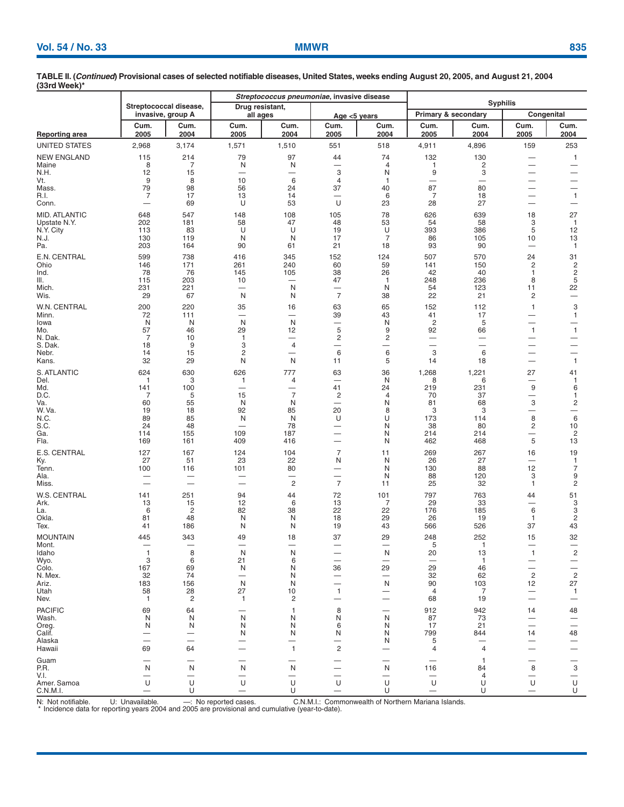| $1001$ and $100n$             |                |                                             |                                     |                                            |                                                      |                   |                               |                               |                                                           |                               |  |  |  |
|-------------------------------|----------------|---------------------------------------------|-------------------------------------|--------------------------------------------|------------------------------------------------------|-------------------|-------------------------------|-------------------------------|-----------------------------------------------------------|-------------------------------|--|--|--|
|                               |                |                                             |                                     | Streptococcus pneumoniae, invasive disease |                                                      | <b>Syphilis</b>   |                               |                               |                                                           |                               |  |  |  |
|                               |                | Streptococcal disease,<br>invasive, group A | Drug resistant,<br>all ages         |                                            | Age $<$ 5 years                                      |                   | Primary & secondary           |                               | Congenital                                                |                               |  |  |  |
| Reporting area                | Cum.<br>2005   | Cum.<br>2004                                | Cum.<br>2005                        | Cum.<br>2004                               | Cum.<br>2005                                         | Cum.<br>2004      | Cum.<br>2005                  | Cum.<br>2004                  | Cum.<br>2005                                              | Cum.<br>2004                  |  |  |  |
| UNITED STATES                 | 2,968          | 3,174                                       | 1,571                               | 1,510                                      | 551                                                  | 518               | 4,911                         | 4,896                         | 159                                                       | 253                           |  |  |  |
| NEW ENGLAND                   | 115            | 214                                         | 79                                  | 97                                         | 44                                                   | 74                | 132                           | 130                           |                                                           | $\mathbf{1}$                  |  |  |  |
| Maine                         | 8              | 7                                           | N                                   | N                                          |                                                      | 4                 | 1                             | 2                             | $\overline{\phantom{0}}$                                  | -                             |  |  |  |
| N.H.<br>Vt.                   | 12<br>9        | 15<br>8                                     | 10                                  | —<br>6                                     | 3<br>4                                               | N<br>$\mathbf{1}$ | 9                             | 3<br>-                        | $\overline{\phantom{0}}$<br>—                             | —<br>—                        |  |  |  |
| Mass.                         | 79             | 98                                          | 56                                  | 24                                         | 37                                                   | 40                | 87                            | 80                            | —                                                         | $\overline{\phantom{0}}$      |  |  |  |
| R.I.                          | $\overline{7}$ | 17                                          | 13                                  | 14                                         |                                                      | 6                 | 7                             | 18                            | $\overline{\phantom{0}}$                                  | $\mathbf{1}$                  |  |  |  |
| Conn.                         | -              | 69                                          | U                                   | 53                                         | U                                                    | 23                | 28                            | 27                            | $\qquad \qquad -$                                         |                               |  |  |  |
| MID. ATLANTIC<br>Upstate N.Y. | 648<br>202     | 547<br>181                                  | 148<br>58                           | 108<br>47                                  | 105<br>48                                            | 78<br>53          | 626<br>54                     | 639<br>58                     | 18<br>3                                                   | 27<br>$\mathbf{1}$            |  |  |  |
| N.Y. City                     | 113            | 83                                          | U                                   | U                                          | 19                                                   | U                 | 393                           | 386                           | 5                                                         | 12                            |  |  |  |
| N.J.<br>Pa.                   | 130<br>203     | 119<br>164                                  | N<br>90                             | N<br>61                                    | 17<br>21                                             | 7<br>18           | 86<br>93                      | 105<br>90                     | 10<br>—                                                   | 13<br>$\mathbf{1}$            |  |  |  |
| E.N. CENTRAL                  | 599            | 738                                         | 416                                 | 345                                        | 152                                                  | 124               | 507                           | 570                           | 24                                                        | 31                            |  |  |  |
| Ohio                          | 146            | 171                                         | 261                                 | 240                                        | 60                                                   | 59                | 141                           | 150                           | 2                                                         | $\overline{c}$                |  |  |  |
| Ind.                          | 78             | 76                                          | 145                                 | 105                                        | 38                                                   | 26                | 42                            | 40                            | 1                                                         | 2                             |  |  |  |
| III.<br>Mich.                 | 115<br>231     | 203<br>221                                  | 10<br>$\overbrace{\phantom{12333}}$ | $\overline{\phantom{0}}$<br>N              | 47                                                   | $\mathbf{1}$<br>N | 248<br>54                     | 236<br>123                    | 8<br>11                                                   | 5<br>22                       |  |  |  |
| Wis.                          | 29             | 67                                          | N                                   | N                                          | $\overline{7}$                                       | 38                | 22                            | 21                            | 2                                                         | —                             |  |  |  |
| W.N. CENTRAL                  | 200            | 220                                         | 35                                  | 16                                         | 63                                                   | 65                | 152                           | 112                           | 1                                                         | 3                             |  |  |  |
| Minn.                         | 72<br>N        | 111<br>N                                    | $\overline{\phantom{0}}$<br>N       | $\overline{\phantom{0}}$<br>N              | 39<br>—                                              | 43<br>N           | 41<br>$\overline{c}$          | 17<br>5                       | $\overline{\phantom{0}}$<br>-                             | $\mathbf{1}$                  |  |  |  |
| lowa<br>Mo.                   | 57             | 46                                          | 29                                  | 12                                         | 5                                                    | 9                 | 92                            | 66                            | $\mathbf{1}$                                              | $\mathbf{1}$                  |  |  |  |
| N. Dak.                       | 7              | 10                                          | $\mathbf{1}$                        | —                                          | $\overline{\mathbf{c}}$                              | $\overline{c}$    | $\overline{\phantom{0}}$      | -                             | $\overline{\phantom{0}}$                                  | —                             |  |  |  |
| S. Dak.<br>Nebr.              | 18<br>14       | 9<br>15                                     | 3<br>2                              | 4<br>-                                     | —<br>6                                               | —<br>$\,6\,$      | $\overline{\phantom{0}}$<br>3 | $\overline{\phantom{0}}$<br>6 | $\overbrace{\phantom{13333}}$<br>$\overline{\phantom{0}}$ | —<br>-                        |  |  |  |
| Kans.                         | 32             | 29                                          | N                                   | N                                          | 11                                                   | 5                 | 14                            | 18                            | $\overline{\phantom{0}}$                                  | $\mathbf{1}$                  |  |  |  |
| S. ATLANTIC                   | 624            | 630                                         | 626                                 | 777                                        | 63                                                   | 36                | 1,268                         | 1,221                         | 27                                                        | 41                            |  |  |  |
| Del.<br>Md.                   | 1<br>141       | 3<br>100                                    | 1<br>$\overline{\phantom{0}}$       | 4<br>$\overline{\phantom{a}}$              | 41                                                   | N<br>24           | 8<br>219                      | 6<br>231                      | —<br>9                                                    | $\mathbf{1}$<br>6             |  |  |  |
| D.C.                          | 7              | 5                                           | 15                                  | $\overline{7}$                             | 2                                                    | 4                 | 70                            | 37                            | $\overline{\phantom{0}}$                                  | 1                             |  |  |  |
| Va.<br>W. Va.                 | 60<br>19       | 55<br>18                                    | N<br>92                             | N<br>85                                    | —<br>20                                              | N<br>8            | 81<br>3                       | 68<br>3                       | 3<br>—                                                    | $\overline{\mathbf{c}}$       |  |  |  |
| N.C.                          | 89             | 85                                          | N                                   | N                                          | U                                                    | U                 | 173                           | 114                           | 8                                                         | 6                             |  |  |  |
| S.C.<br>Ga.                   | 24<br>114      | 48<br>155                                   | 109                                 | 78<br>187                                  | -                                                    | N<br>N            | 38<br>214                     | 80<br>214                     | $\overline{\mathbf{c}}$<br>$\overline{\phantom{0}}$       | 10<br>$\overline{\mathbf{c}}$ |  |  |  |
| Fla.                          | 169            | 161                                         | 409                                 | 416                                        |                                                      | N                 | 462                           | 468                           | 5                                                         | 13                            |  |  |  |
| E.S. CENTRAL                  | 127            | 167                                         | 124                                 | 104                                        | $\overline{7}$                                       | 11                | 269                           | 267                           | 16                                                        | 19                            |  |  |  |
| Ky.                           | 27             | 51                                          | 23                                  | 22                                         | N                                                    | N                 | 26                            | 27                            |                                                           | $\mathbf{1}$                  |  |  |  |
| Tenn.<br>Ala.                 | 100            | 116                                         | 101                                 | 80                                         | $\overline{\phantom{0}}$<br>$\overline{\phantom{0}}$ | N<br>N            | 130<br>88                     | 88<br>120                     | 12<br>3                                                   | 7<br>9                        |  |  |  |
| Miss.                         |                |                                             |                                     | $\overline{c}$                             | $\overline{7}$                                       | 11                | 25                            | 32                            | 1                                                         | 2                             |  |  |  |
| W.S. CENTRAL                  | 141            | 251                                         | 94                                  | 44                                         | 72                                                   | 101               | 797                           | 763                           | 44                                                        | 51                            |  |  |  |
| Ark.<br>La.                   | 13<br>6        | 15<br>2                                     | 12<br>82                            | 6<br>38                                    | 13<br>22                                             | 7<br>22           | 29<br>176                     | 33<br>185                     | 6                                                         | 3<br>3                        |  |  |  |
| Okla.                         | 81             | 48                                          | N                                   | N                                          | 18                                                   | 29                | 26                            | 19                            | $\mathbf{1}$                                              | 2                             |  |  |  |
| Tex.                          | 41             | 186                                         | N                                   | N                                          | 19                                                   | 43                | 566                           | 526                           | 37                                                        | 43                            |  |  |  |
| <b>MOUNTAIN</b>               | 445            | 343                                         | 49                                  | 18                                         | 37                                                   | 29                | 248                           | 252                           | 15                                                        | 32                            |  |  |  |
| Mont.<br>Idaho                | $\mathbf{1}$   | 8                                           | N                                   | N                                          |                                                      | N                 | 5<br>20                       | 13                            | $\mathbf{1}$                                              | 2                             |  |  |  |
| Wyo.                          | 3              | 6                                           | 21                                  | 6                                          |                                                      |                   |                               | $\mathbf{1}$                  |                                                           | —                             |  |  |  |
| Colo.<br>N. Mex.              | 167<br>32      | 69<br>74                                    | N                                   | N<br>N                                     | 36                                                   | 29                | 29<br>32                      | 46<br>62                      | $\overline{c}$                                            | —<br>$\sqrt{2}$               |  |  |  |
| Ariz.                         | 183            | 156                                         | N                                   | N                                          |                                                      | N                 | 90                            | 103                           | 12                                                        | 27                            |  |  |  |
| Utah<br>Nev.                  | 58<br>-1       | 28<br>2                                     | 27<br>1                             | 10<br>2                                    | 1.                                                   | -                 | $\overline{4}$<br>68          | 7<br>19                       | —                                                         | -1                            |  |  |  |
| <b>PACIFIC</b>                | 69             | 64                                          |                                     |                                            | 8                                                    |                   | 912                           | 942                           | 14                                                        | 48                            |  |  |  |
| Wash.                         | N              | N                                           | N                                   | N                                          | N                                                    | N                 | 87                            | 73                            |                                                           |                               |  |  |  |
| Oreg.<br>Calif.               | N              | N<br>—                                      | N<br>N                              | N<br>N                                     | 6<br>N                                               | N<br>N            | 17<br>799                     | 21<br>844                     | 14                                                        | 48                            |  |  |  |
| Alaska                        |                | $\overline{\phantom{0}}$                    |                                     |                                            |                                                      | N                 | 5                             |                               |                                                           |                               |  |  |  |
| Hawaii                        | 69             | 64                                          |                                     | 1                                          | $\overline{c}$                                       |                   | 4                             | 4                             |                                                           |                               |  |  |  |
| Guam                          |                |                                             |                                     |                                            |                                                      |                   |                               | -1                            |                                                           |                               |  |  |  |
| P.R.<br>V.I.                  | N              | N                                           | N                                   | N                                          |                                                      | N                 | 116                           | 84<br>4                       | 8                                                         | $\ensuremath{\mathsf{3}}$     |  |  |  |
| Amer. Samoa                   | U              | U                                           | U                                   | U                                          | U                                                    | U                 | U                             | U                             | U                                                         | $\cup$                        |  |  |  |
| C.N.M.I.                      |                | U                                           |                                     | U                                          |                                                      | U                 |                               | U                             |                                                           | U                             |  |  |  |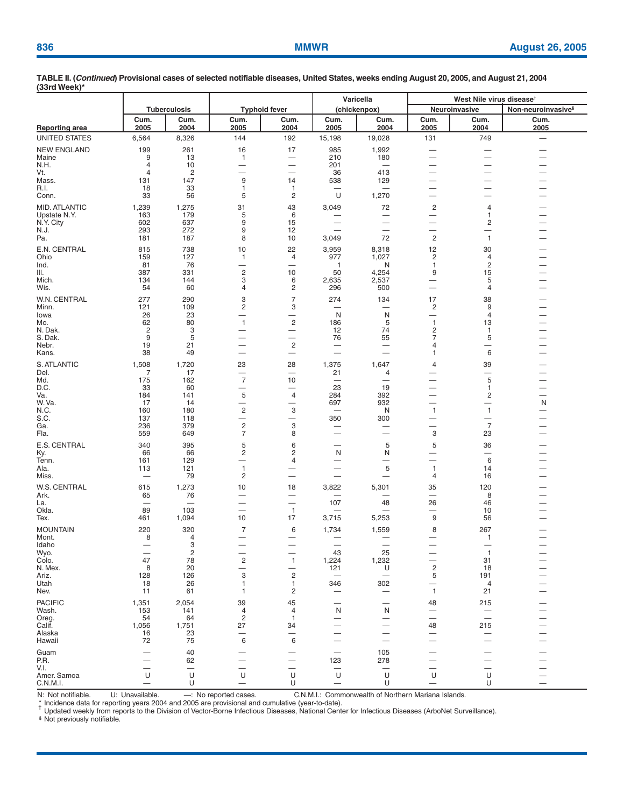| <u> </u>              |                     |                                |                                                     |                                |                                | Varicella                     | West Nile virus disease <sup>t</sup>       |                                            |                                |  |  |
|-----------------------|---------------------|--------------------------------|-----------------------------------------------------|--------------------------------|--------------------------------|-------------------------------|--------------------------------------------|--------------------------------------------|--------------------------------|--|--|
|                       |                     | <b>Tuberculosis</b>            |                                                     | <b>Typhoid fever</b>           |                                | (chickenpox)                  |                                            | Neuroinvasive                              | Non-neuroinvasive <sup>§</sup> |  |  |
| <b>Reporting area</b> | Cum.<br>2005        | Cum.<br>2004                   | Cum.<br>2005                                        | Cum.<br>2004                   | Cum.<br>2005                   | Cum.<br>2004                  | Cum.<br>2005                               | Cum.<br>2004                               | Cum.<br>2005                   |  |  |
| UNITED STATES         | 6,564               | 8,326                          | 144                                                 | 192                            | 15,198                         | 19,028                        | 131                                        | 749                                        | $\qquad \qquad -$              |  |  |
| <b>NEW ENGLAND</b>    | 199                 | 261                            | 16                                                  | 17                             | 985                            | 1,992                         |                                            |                                            |                                |  |  |
| Maine                 | 9                   | 13                             | $\mathbf{1}$                                        | $\overline{\phantom{0}}$       | 210                            | 180                           |                                            | $\overline{\phantom{0}}$                   |                                |  |  |
| N.H.<br>Vt.           | 4<br>$\overline{4}$ | 10<br>$\overline{2}$           |                                                     | —                              | 201<br>36                      | 413                           | $\overline{\phantom{0}}$                   | $\overline{\phantom{0}}$                   |                                |  |  |
| Mass.                 | 131                 | 147                            | 9                                                   | 14                             | 538                            | 129                           |                                            |                                            |                                |  |  |
| R.I.<br>Conn.         | 18<br>33            | 33<br>56                       | 1<br>5                                              | $\mathbf{1}$<br>$\overline{c}$ | U                              | 1,270                         |                                            |                                            |                                |  |  |
| MID. ATLANTIC         | 1,239               | 1,275                          | 31                                                  | 43                             | 3,049                          | 72                            | $\overline{c}$                             | 4                                          |                                |  |  |
| Upstate N.Y.          | 163                 | 179                            | 5                                                   | 6                              |                                | $\overline{\phantom{m}}$      | $\overline{\phantom{0}}$                   | 1                                          |                                |  |  |
| N.Y. City             | 602                 | 637                            | 9                                                   | 15                             |                                |                               | —                                          | 2                                          |                                |  |  |
| N.J.<br>Pa.           | 293<br>181          | 272<br>187                     | 9<br>8                                              | 12<br>10                       | 3,049                          | 72                            | $\overline{\phantom{0}}$<br>$\overline{c}$ | $\overline{\phantom{0}}$<br>$\overline{1}$ |                                |  |  |
| E.N. CENTRAL          | 815                 | 738                            | 10                                                  | 22                             | 3,959                          | 8,318                         | 12                                         | 30                                         |                                |  |  |
| Ohio                  | 159                 | 127                            | 1                                                   | 4                              | 977                            | 1,027                         | $\overline{c}$                             | 4                                          |                                |  |  |
| Ind.<br>III.          | 81<br>387           | 76<br>331                      | $\overline{\phantom{0}}$<br>$\overline{c}$          | 10                             | $\mathbf{1}$<br>50             | N                             | $\mathbf{1}$<br>9                          | $\overline{c}$<br>15                       |                                |  |  |
| Mich.                 | 134                 | 144                            | 3                                                   | 6                              | 2,635                          | 4,254<br>2,537                | —                                          | 5                                          |                                |  |  |
| Wis.                  | 54                  | 60                             | 4                                                   | 2                              | 296                            | 500                           | —                                          | 4                                          |                                |  |  |
| W.N. CENTRAL          | 277                 | 290                            | 3                                                   | 7                              | 274                            | 134                           | 17                                         | 38                                         |                                |  |  |
| Minn.<br>lowa         | 121<br>26           | 109<br>23                      | $\overline{\mathbf{c}}$<br>$\overline{\phantom{0}}$ | 3                              | N                              | N                             | 2<br>$\overline{\phantom{0}}$              | 9<br>4                                     |                                |  |  |
| Mo.                   | 62                  | 80                             | $\mathbf{1}$                                        | 2                              | 186                            | 5                             | $\mathbf{1}$                               | 13                                         |                                |  |  |
| N. Dak.               | 2                   | 3                              | —                                                   | —                              | 12                             | 74                            | 2                                          | $\mathbf{1}$                               |                                |  |  |
| S. Dak.<br>Nebr.      | 9<br>19             | 5<br>21                        | $\overline{\phantom{0}}$                            | -<br>$\overline{c}$            | 76<br>$\overline{\phantom{0}}$ | 55                            | 7<br>4                                     | 5<br>—                                     |                                |  |  |
| Kans.                 | 38                  | 49                             | $\overline{\phantom{0}}$                            | $\qquad \qquad -$              |                                |                               | $\mathbf{1}$                               | 6                                          |                                |  |  |
| S. ATLANTIC           | 1,508               | 1,720                          | 23                                                  | 28                             | 1,375                          | 1,647                         | 4                                          | 39                                         |                                |  |  |
| Del.<br>Md.           | 7<br>175            | 17<br>162                      | $\overline{7}$                                      | $\overline{\phantom{0}}$<br>10 | 21                             | 4<br>$\overline{\phantom{0}}$ | —                                          | 5                                          |                                |  |  |
| D.C.                  | 33                  | 60                             | -                                                   |                                | 23                             | 19                            |                                            | $\mathbf{1}$                               |                                |  |  |
| Va.<br>W.Va.          | 184                 | 141                            | 5<br>$\overline{\phantom{0}}$                       | 4<br>÷                         | 284                            | 392<br>932                    | $\overline{\phantom{0}}$                   | $\overline{\mathbf{c}}$<br>—               | $\overline{\phantom{a}}$       |  |  |
| N.C.                  | 17<br>160           | 14<br>180                      | $\sqrt{2}$                                          | 3                              | 697                            | N                             | —<br>$\mathbf{1}$                          | $\overline{1}$                             | N                              |  |  |
| S.C.                  | 137                 | 118                            | $\overline{\phantom{0}}$                            | -                              | 350                            | 300                           | $\overline{\phantom{0}}$                   | $\overline{\phantom{0}}$                   |                                |  |  |
| Ga.<br>Fla.           | 236<br>559          | 379<br>649                     | $\overline{c}$<br>$\overline{7}$                    | 3<br>8                         |                                |                               | —<br>3                                     | $\overline{7}$<br>23                       |                                |  |  |
| E.S. CENTRAL          | 340                 | 395                            | 5                                                   | 6                              |                                | 5                             | 5                                          | 36                                         |                                |  |  |
| Ky.                   | 66                  | 66                             | $\overline{c}$                                      | 2                              | N                              | N                             | —                                          | —                                          |                                |  |  |
| Tenn.<br>Ala.         | 161<br>113          | 129<br>121                     | $\mathbf{1}$                                        | 4                              |                                | $\overline{\phantom{0}}$<br>5 | $\overline{1}$                             | 6<br>14                                    |                                |  |  |
| Miss.                 |                     | 79                             | $\overline{c}$                                      |                                |                                |                               | 4                                          | 16                                         |                                |  |  |
| W.S. CENTRAL          | 615                 | 1,273                          | 10                                                  | 18                             | 3,822                          | 5,301                         | 35                                         | 120                                        |                                |  |  |
| Ark.                  | 65                  | 76                             |                                                     |                                |                                |                               |                                            | 8                                          |                                |  |  |
| La.<br>Okla.          | -<br>89             | 103                            | $\overline{\phantom{0}}$                            | $\mathbf{1}$                   | 107                            | 48                            | 26<br>$\overline{\phantom{0}}$             | 46<br>10                                   |                                |  |  |
| lex.                  | 461                 | 1,094                          | 10                                                  | 17                             | 3,715                          | 5,253                         | 9                                          | 56                                         |                                |  |  |
| <b>MOUNTAIN</b>       | 220                 | 320                            | 7                                                   | 6                              | 1,734                          | 1,559                         | 8                                          | 267                                        |                                |  |  |
| Mont.<br>Idaho        | 8<br>-              | 4<br>3                         | $\overline{\phantom{0}}$                            | —                              |                                | $\overline{\phantom{0}}$      |                                            | 1<br>—                                     | $\overline{\phantom{0}}$       |  |  |
| Wyo.                  |                     | $\overline{c}$                 |                                                     |                                | 43                             | 25                            |                                            | $\mathbf{1}$                               |                                |  |  |
| Colo.<br>N. Mex.      | 47<br>8             | 78<br>20                       | $\overline{\mathbf{c}}$                             | $\mathbf{1}$                   | 1,224<br>121                   | 1,232<br>U                    | —<br>$\overline{c}$                        | 31<br>18                                   |                                |  |  |
| Ariz.                 | 128                 | 126                            | 3                                                   | $\overline{c}$                 | $\overline{\phantom{m}}$       |                               | 5                                          | 191                                        |                                |  |  |
| Utah<br>Nev.          | 18<br>11            | 26<br>61                       | 1<br>1                                              | 1<br>2                         | 346                            | 302<br>$\qquad \qquad -$      | $\overline{\phantom{0}}$<br>$\mathbf{1}$   | $\overline{4}$<br>21                       |                                |  |  |
| <b>PACIFIC</b>        | 1,351               | 2,054                          | 39                                                  | 45                             |                                |                               |                                            | 215                                        |                                |  |  |
| Wash.                 | 153                 | 141                            | 4                                                   | 4                              | N                              | N                             | 48                                         | —                                          |                                |  |  |
| Oreg.                 | 54                  | 64                             | $\overline{c}$                                      | 1                              |                                |                               | -                                          | $\overline{\phantom{m}}$                   |                                |  |  |
| Calif.<br>Alaska      | 1,056<br>16         | 1,751<br>23                    | 27<br>-                                             | 34                             |                                | -                             | 48                                         | 215<br>—                                   |                                |  |  |
| Hawaii                | 72                  | 75                             | 6                                                   | 6                              |                                | $\overline{\phantom{0}}$      |                                            |                                            |                                |  |  |
| Guam                  |                     | 40                             |                                                     |                                |                                | 105                           |                                            |                                            |                                |  |  |
| P.R.<br>V.I.          |                     | 62<br>$\overline{\phantom{m}}$ |                                                     |                                | 123                            | 278                           |                                            | $\overline{\phantom{0}}$                   |                                |  |  |
| Amer. Samoa           | U                   | U                              | U                                                   | U                              | U                              | U                             | U                                          | U                                          |                                |  |  |
| C.N.M.I.              | —                   | U                              |                                                     | U                              |                                | U                             |                                            | U                                          |                                |  |  |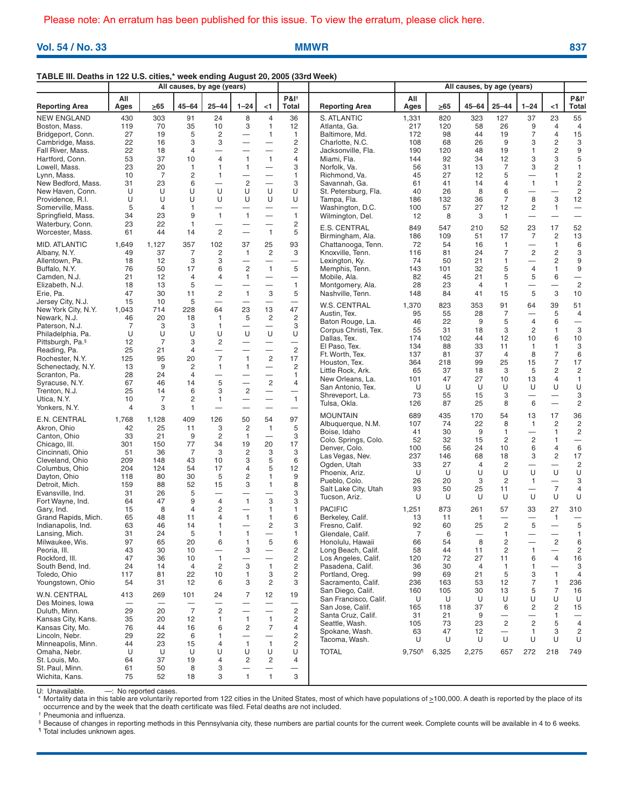**Vol. 54 / No. 33 MMWR 837**

## **TABLE III. Deaths in 122 U.S. cities,\* week ending August 20, 2005 (33rd Week)**

|                                      | All causes, by age (years) |                      |                      |                               |                                                      |                                          |                                             |                                        | All causes, by age (years) |           |                    |                               |                                            |                                          |                                             |
|--------------------------------------|----------------------------|----------------------|----------------------|-------------------------------|------------------------------------------------------|------------------------------------------|---------------------------------------------|----------------------------------------|----------------------------|-----------|--------------------|-------------------------------|--------------------------------------------|------------------------------------------|---------------------------------------------|
| <b>Reporting Area</b>                | All<br>Ages                | >65                  | $45 - 64$            | $25 - 44$                     | $1 - 24$                                             | $<$ 1                                    | <b>P&amp;I</b> <sup>+</sup><br><b>Total</b> | <b>Reporting Area</b>                  | All<br>Ages                | $\geq 65$ | 45–64              | $25 - 44$                     | $1 - 24$                                   | $<$ 1                                    | <b>P&amp;I</b> <sup>+</sup><br><b>Total</b> |
| <b>NEW ENGLAND</b>                   | 430                        | 303                  | 91                   | 24                            | 8                                                    | $\overline{4}$                           | 36                                          | S. ATLANTIC                            | 1,331                      | 820       | 323                | 127                           | 37                                         | 23                                       | 55                                          |
| Boston, Mass.                        | 119                        | 70                   | 35                   | 10                            | 3                                                    | 1                                        | 12                                          | Atlanta, Ga.                           | 217                        | 120       | 58                 | 26                            | 9                                          | $\overline{4}$                           | $\overline{4}$                              |
| Bridgeport, Conn.                    | 27                         | 19                   | 5                    | 2                             | $\overline{\phantom{0}}$                             | $\mathbf{1}$                             | 1                                           | Baltimore, Md.                         | 172                        | 98        | 44                 | 19                            | 7                                          | $\overline{4}$                           | 15                                          |
| Cambridge, Mass.                     | 22<br>22                   | 16<br>18             | 3<br>4               | 3<br>$\overline{\phantom{0}}$ | $\overline{\phantom{0}}$<br>$\overline{\phantom{0}}$ | $\overline{\phantom{0}}$                 | $\overline{c}$<br>$\overline{c}$            | Charlotte, N.C.                        | 108<br>190                 | 68<br>120 | 26<br>48           | 9<br>19                       | 3<br>1                                     | $\mathbf 2$<br>$\overline{c}$            | 3<br>$\boldsymbol{9}$                       |
| Fall River, Mass.<br>Hartford, Conn. | 53                         | 37                   | 10                   | $\overline{4}$                | $\mathbf{1}$                                         | $\mathbf{1}$                             | 4                                           | Jacksonville, Fla.<br>Miami, Fla.      | 144                        | 92        | 34                 | 12                            | 3                                          | 3                                        | 5                                           |
| Lowell, Mass.                        | 23                         | 20                   | $\mathbf{1}$         | 1                             | $\overline{1}$                                       |                                          | 3                                           | Norfolk, Va.                           | 56                         | 31        | 13                 | $\overline{7}$                | 3                                          | $\overline{c}$                           | 1                                           |
| Lynn, Mass.                          | 10                         | 7                    | 2                    | $\mathbf{1}$                  | $\overline{\phantom{0}}$                             | $\overline{\phantom{0}}$                 | 1                                           | Richmond, Va.                          | 45                         | 27        | 12                 | 5                             |                                            | $\mathbf{1}$                             | $\overline{c}$                              |
| New Bedford, Mass.                   | 31                         | 23                   | 6                    |                               | $\overline{c}$                                       | $\overline{\phantom{0}}$                 | 3                                           | Savannah, Ga.                          | 61                         | 41        | 14                 | 4                             | $\mathbf{1}$                               | $\mathbf{1}$                             | $\overline{\mathbf{c}}$                     |
| New Haven, Conn.                     | U                          | U                    | U                    | U                             | U                                                    | U                                        | U                                           | St. Petersburg, Fla.                   | 40                         | 26        | 8                  | 6                             |                                            | $\overline{\phantom{0}}$                 | $\overline{c}$                              |
| Providence, R.I.                     | U                          | U                    | U                    | U                             | U                                                    | U                                        | U                                           | Tampa, Fla.                            | 186                        | 132       | 36                 | 7                             | 8                                          | 3                                        | 12                                          |
| Somerville, Mass.                    | 5                          | $\overline{4}$       | $\mathbf{1}$         |                               |                                                      | $\overline{\phantom{0}}$                 | $\qquad \qquad -$                           | Washington, D.C.                       | 100                        | 57        | 27                 | 12                            | $\overline{c}$                             | $\mathbf{1}$                             | $\overline{\phantom{0}}$                    |
| Springfield, Mass.                   | 34                         | 23                   | 9                    | $\mathbf{1}$                  | $\mathbf{1}$                                         | $\overline{\phantom{0}}$                 | $\mathbf{1}$                                | Wilmington, Del.                       | 12                         | 8         | 3                  | $\mathbf{1}$                  |                                            |                                          | $\overline{\phantom{0}}$                    |
| Waterbury, Conn.<br>Worcester, Mass. | 23<br>61                   | 22<br>44             | $\mathbf{1}$<br>14   | $\overline{2}$                | $\overline{\phantom{0}}$                             | $\overline{\phantom{0}}$<br>$\mathbf{1}$ | $\overline{c}$<br>5                         | E.S. CENTRAL                           | 849                        | 547       | 210                | 52                            | 23                                         | 17                                       | 52                                          |
|                                      |                            |                      |                      |                               |                                                      |                                          |                                             | Birmingham, Ala.                       | 186                        | 109       | 51                 | 17                            | 7                                          | $\overline{c}$                           | 13                                          |
| MID. ATLANTIC                        | 1,649                      | 1,127                | 357                  | 102                           | 37                                                   | 25                                       | 93                                          | Chattanooga, Tenn.                     | 72                         | 54        | 16                 | $\mathbf{1}$                  | $\qquad \qquad -$                          | 1                                        | 6                                           |
| Albany, N.Y.                         | 49                         | 37                   | $\overline{7}$       | $\overline{c}$                | $\overline{1}$                                       | 2                                        | 3                                           | Knoxville, Tenn.                       | 116                        | 81        | 24                 | $\overline{7}$                | $\overline{c}$                             | $\overline{c}$                           | 3                                           |
| Allentown, Pa.<br>Buffalo, N.Y.      | 18<br>76                   | 12<br>50             | 3<br>17              | 3<br>6                        | $\overline{\phantom{0}}$<br>$\overline{2}$           | $\overline{\phantom{0}}$<br>$\mathbf{1}$ | $\overline{\phantom{0}}$<br>5               | Lexington, Ky.<br>Memphis, Tenn.       | 74<br>143                  | 50<br>101 | 21<br>32           | 1<br>5                        | $\overline{\phantom{0}}$<br>$\overline{4}$ | $\overline{c}$<br>$\mathbf{1}$           | 9<br>9                                      |
| Camden, N.J.                         | 21                         | 12                   | $\overline{4}$       | 4                             | $\mathbf{1}$                                         | $\overline{\phantom{0}}$                 | $\overline{\phantom{0}}$                    | Mobile, Ala.                           | 82                         | 45        | 21                 | 5                             | 5                                          | 6                                        | $\overline{\phantom{0}}$                    |
| Elizabeth, N.J.                      | 18                         | 13                   | 5                    | $\overline{\phantom{0}}$      |                                                      | $\overline{\phantom{0}}$                 | $\mathbf{1}$                                | Montgomery, Ala.                       | 28                         | 23        | 4                  | 1                             |                                            |                                          | $\overline{c}$                              |
| Erie, Pa.                            | 47                         | 30                   | 11                   | $\overline{2}$                | $\mathbf{1}$                                         | 3                                        | 5                                           | Nashville, Tenn.                       | 148                        | 84        | 41                 | 15                            | 5                                          | 3                                        | 10                                          |
| Jersey City, N.J.                    | 15                         | 10                   | 5                    |                               |                                                      |                                          |                                             | <b>W.S. CENTRAL</b>                    |                            |           |                    |                               |                                            |                                          |                                             |
| New York City, N.Y.                  | 1,043                      | 714                  | 228                  | 64                            | 23                                                   | 13                                       | 47                                          | Austin, Tex.                           | 1,370<br>95                | 823<br>55 | 353<br>28          | 91<br>$\overline{7}$          | 64                                         | 39<br>5                                  | 51<br>$\overline{4}$                        |
| Newark, N.J.                         | 46                         | 20                   | 18                   | $\mathbf{1}$                  | 5                                                    | 2                                        | $\overline{c}$                              | Baton Rouge, La.                       | 46                         | 22        | 9                  | 5                             | $\overline{4}$                             | 6                                        | $\overline{\phantom{0}}$                    |
| Paterson, N.J.                       | 7                          | 3                    | 3                    | 1                             |                                                      |                                          | 3                                           | Corpus Christi, Tex.                   | 55                         | 31        | 18                 | 3                             | $\overline{c}$                             | 1                                        | 3                                           |
| Philadelphia, Pa.                    | U                          | U                    | U                    | U                             | U                                                    | U                                        | U                                           | Dallas, Tex.                           | 174                        | 102       | 44                 | 12                            | 10                                         | 6                                        | 10                                          |
| Pittsburgh, Pa. <sup>§</sup>         | 12<br>25                   | $\overline{7}$<br>21 | 3<br>$\overline{4}$  | 2                             | $\overline{\phantom{0}}$                             | $\overline{\phantom{0}}$                 | $\overline{\phantom{0}}$<br>$\overline{c}$  | El Paso, Tex.                          | 134                        | 88        | 33                 | 11                            | $\mathbf{1}$                               | $\mathbf{1}$                             | 3                                           |
| Reading, Pa.<br>Rochester, N.Y.      | 125                        | 95                   | 20                   | $\overline{7}$                | $\mathbf{1}$                                         | $\overline{c}$                           | 17                                          | Ft. Worth, Tex.                        | 137                        | 81        | 37                 | $\overline{4}$                | 8                                          | $\overline{7}$                           | 6                                           |
| Schenectady, N.Y.                    | 13                         | 9                    | $\overline{c}$       | $\mathbf{1}$                  | $\overline{1}$                                       | $\overline{\phantom{0}}$                 | $\overline{c}$                              | Houston, Tex.                          | 364                        | 218       | 99                 | 25                            | 15                                         | $\overline{7}$                           | 17                                          |
| Scranton, Pa.                        | 28                         | 24                   | $\overline{4}$       |                               |                                                      | $\overline{\phantom{0}}$                 | $\mathbf{1}$                                | Little Rock, Ark.                      | 65                         | 37        | 18                 | 3                             | 5                                          | $\overline{c}$                           | $\overline{c}$                              |
| Syracuse, N.Y.                       | 67                         | 46                   | 14                   | 5                             | $\overline{\phantom{0}}$                             | $\overline{c}$                           | 4                                           | New Orleans, La.                       | 101<br>U                   | 47<br>U   | 27<br>U            | 10<br>U                       | 13<br>U                                    | $\overline{4}$<br>U                      | $\mathbf{1}$<br>U                           |
| Trenton, N.J.                        | 25                         | 14                   | 6                    | 3                             | $\overline{2}$                                       | $\overline{\phantom{0}}$                 | $\qquad \qquad -$                           | San Antonio, Tex.<br>Shreveport, La.   | 73                         | 55        | 15                 | 3                             |                                            | $\overline{\phantom{0}}$                 | 3                                           |
| Utica, N.Y.                          | 10                         | $\overline{7}$       | $\overline{c}$       | $\mathbf{1}$                  | —                                                    | $\overline{\phantom{0}}$                 | $\mathbf{1}$                                | Tulsa, Okla.                           | 126                        | 87        | 25                 | 8                             | 6                                          |                                          | $\overline{c}$                              |
| Yonkers, N.Y.                        | 4                          | 3                    | $\mathbf{1}$         | $\overline{\phantom{0}}$      | $\overline{\phantom{0}}$                             | $\overline{\phantom{0}}$                 | $\overline{\phantom{0}}$                    |                                        |                            |           |                    |                               |                                            |                                          |                                             |
| E.N. CENTRAL                         | 1,768                      | 1,128                | 409                  | 126                           | 50                                                   | 54                                       | 97                                          | <b>MOUNTAIN</b><br>Albuquerque, N.M.   | 689<br>107                 | 435<br>74 | 170<br>22          | 54<br>8                       | 13<br>$\mathbf{1}$                         | 17<br>$\overline{c}$                     | 36<br>$\sqrt{2}$                            |
| Akron, Ohio                          | 42                         | 25                   | 11                   | 3                             | $\overline{c}$                                       | $\overline{1}$                           | 5                                           | Boise, Idaho                           | 41                         | 30        | 9                  | 1                             | $\overline{\phantom{0}}$                   | 1                                        | $\overline{c}$                              |
| Canton, Ohio                         | 33                         | 21                   | 9                    | $\overline{c}$                | $\mathbf{1}$                                         |                                          | 3                                           | Colo. Springs, Colo.                   | 52                         | 32        | 15                 | 2                             | $\overline{c}$                             | $\mathbf{1}$                             | $\qquad \qquad -$                           |
| Chicago, III.                        | 301                        | 150                  | 77<br>$\overline{7}$ | 34<br>3                       | 19                                                   | 20<br>3                                  | 17<br>3                                     | Denver, Colo.                          | 100                        | 56        | 24                 | 10                            | 6                                          | $\overline{4}$                           | 6                                           |
| Cincinnati, Ohio<br>Cleveland, Ohio  | 51<br>209                  | 36<br>148            | 43                   | 10                            | $\overline{c}$<br>3                                  | 5                                        | 6                                           | Las Vegas, Nev.                        | 237                        | 146       | 68                 | 18                            | 3                                          | $\overline{c}$                           | 17                                          |
| Columbus, Ohio                       | 204                        | 124                  | 54                   | 17                            | $\overline{4}$                                       | 5                                        | 12                                          | Ogden, Utah                            | 33                         | 27        | 4                  | $\overline{c}$                |                                            | $\overline{\phantom{0}}$                 | $\overline{c}$                              |
| Dayton, Ohio                         | 118                        | 80                   | 30                   | 5                             | 2                                                    | 1                                        | 9                                           | Phoenix, Ariz.                         | U                          | U         | U                  | U                             | U                                          | U                                        | U                                           |
| Detroit, Mich.                       | 159                        | 88                   | 52                   | 15                            | 3                                                    | $\mathbf{1}$                             | 8                                           | Pueblo, Colo.                          | 26<br>93                   | 20<br>50  | 3<br>25            | 2<br>11                       | 1                                          | $\overline{7}$                           | 3<br>4                                      |
| Evansville, Ind.                     | 31                         | 26                   | 5                    | $\overline{\phantom{0}}$      | —                                                    | $\overline{\phantom{0}}$                 | 3                                           | Salt Lake City, Utah<br>Tucson, Ariz.  | U                          | U         | U                  | U                             | U                                          | U                                        | U                                           |
| Fort Wayne, Ind.                     | 64                         | 47                   | 9                    | $\overline{4}$                | $\mathbf{1}$                                         | 3                                        | 3                                           |                                        |                            |           |                    |                               |                                            |                                          |                                             |
| Gary, Ind.                           | 15                         | 8                    | $\overline{4}$       | 2                             |                                                      | $\mathbf{1}$                             | 1                                           | <b>PACIFIC</b>                         | 1,251                      | 873       | 261                | 57                            | 33                                         | 27                                       | 310                                         |
| Grand Rapids, Mich.                  | 65<br>63                   | 48<br>46             | 11<br>14             | 4<br>1                        | $\mathbf{1}$<br>$\overline{\phantom{0}}$             | 1<br>2                                   | 6<br>3                                      | Berkeley, Calif.                       | 13<br>92                   | 11<br>60  | $\mathbf{1}$<br>25 | $\overline{c}$                | 5                                          | $\mathbf{1}$<br>$\overline{\phantom{m}}$ | 5                                           |
| Indianapolis, Ind.<br>Lansing, Mich. | 31                         | 24                   | 5                    | 1                             | $\mathbf{1}$                                         |                                          | 1                                           | Fresno, Calif.<br>Glendale, Calif.     | $\overline{7}$             | 6         |                    | 1                             |                                            |                                          | 1                                           |
| Milwaukee, Wis.                      | 97                         | 65                   | 20                   | 6                             | 1                                                    | 5                                        | 6                                           | Honolulu, Hawaii                       | 66                         | 54        | 8                  | 2                             |                                            | 2                                        | 6                                           |
| Peoria, III.                         | 43                         | 30                   | 10                   |                               | 3                                                    | $\overline{\phantom{0}}$                 | $\overline{c}$                              | Long Beach, Calif.                     | 58                         | 44        | 11                 | $\overline{c}$                | 1                                          |                                          | $\overline{\mathbf{c}}$                     |
| Rockford, III.                       | 47                         | 36                   | 10                   | $\mathbf{1}$                  | $\overline{\phantom{0}}$                             |                                          | $\overline{c}$                              | Los Angeles, Calif.                    | 120                        | 72        | 27                 | 11                            | 6                                          | $\overline{4}$                           | 16                                          |
| South Bend. Ind.                     | 24                         | 14                   | 4                    | $\overline{2}$                | 3                                                    | 1                                        | $\overline{c}$                              | Pasadena, Calif.                       | 36                         | 30        | 4                  | $\mathbf{1}$                  | 1                                          |                                          | 3                                           |
| Toledo, Ohio                         | 117                        | 81                   | 22                   | 10                            | $\mathbf{1}$                                         | 3                                        | 2                                           | Portland, Oreg.                        | 99                         | 69        | 21                 | 5                             | 3                                          | $\mathbf{1}$                             | $\overline{4}$                              |
| Youngstown, Ohio                     | 54                         | 31                   | 12                   | 6                             | 3                                                    | $\overline{c}$                           | 3                                           | Sacramento, Calif.                     | 236                        | 163       | 53                 | 12                            | 7                                          | $\mathbf{1}$                             | 236                                         |
| W.N. CENTRAL                         | 413                        | 269                  | 101                  | 24                            | $\overline{7}$                                       | 12                                       | 19                                          | San Diego, Calif.                      | 160                        | 105       | 30                 | 13                            | 5                                          | $\overline{7}$                           | 16                                          |
| Des Moines, Iowa                     |                            | —                    |                      |                               | —                                                    |                                          | $\overline{\phantom{0}}$                    | San Francisco, Calif.                  | U                          | U         | U                  | U                             | U                                          | U                                        | U                                           |
| Duluth, Minn.                        | 29                         | 20                   | $\overline{7}$       | $\overline{2}$                | $\overline{\phantom{0}}$                             | $\overline{\phantom{0}}$                 | $\mathbf{2}$                                | San Jose, Calif.<br>Santa Cruz, Calif. | 165<br>31                  | 118<br>21 | 37<br>9            | 6<br>$\overline{\phantom{0}}$ | 2                                          | $\mathbf 2$<br>$\mathbf{1}$              | 15<br>$\overline{\phantom{0}}$              |
| Kansas City, Kans.                   | 35                         | 20                   | 12                   | 1                             | $\mathbf{1}$                                         | 1                                        | 2                                           | Seattle, Wash.                         | 105                        | 73        | 23                 | $\overline{c}$                | $\overline{c}$                             | 5                                        | $\overline{4}$                              |
| Kansas City, Mo.                     | 76                         | 44                   | 16                   | 6                             | $\overline{2}$                                       | $\overline{7}$                           | 4                                           | Spokane, Wash.                         | 63                         | 47        | 12                 | $\overline{\phantom{0}}$      | 1                                          | 3                                        | $\overline{c}$                              |
| Lincoln, Nebr.                       | 29                         | 22                   | 6                    | 1                             | —                                                    |                                          | 2                                           | Tacoma, Wash.                          | U                          | U         | U                  | U                             | U                                          | U                                        | U                                           |
| Minneapolis, Minn.                   | 44                         | 23                   | 15                   | 4                             | $\overline{1}$                                       | $\mathbf{1}$                             | $\overline{\mathbf{c}}$                     |                                        |                            |           |                    |                               |                                            |                                          |                                             |
| Omaha, Nebr.<br>St. Louis, Mo.       | U<br>64                    | U<br>37              | U<br>19              | U<br>4                        | U<br>2                                               | U<br>2                                   | U<br>4                                      | <b>TOTAL</b>                           | $9,750$ <sup>1</sup>       | 6,325     | 2,275              | 657                           | 272                                        | 218                                      | 749                                         |
| St. Paul, Minn.                      | 61                         | 50                   | 8                    | 3                             |                                                      |                                          |                                             |                                        |                            |           |                    |                               |                                            |                                          |                                             |
| Wichita, Kans.                       | 75                         | 52                   | 18                   | 3                             | $\mathbf{1}$                                         | $\mathbf{1}$                             | 3                                           |                                        |                            |           |                    |                               |                                            |                                          |                                             |

U: Unavailable.  $\longrightarrow$ : No reported cases.<br>
\* Mortality data in this table are voluntarily r

Mortality data in this table are voluntarily reported from 122 cities in the United States, most of which have populations of  $\geq 100,000$ . A death is reported by the place of its occurrence and by the week that the death certificate was filed. Fetal deaths are not included.

† Pneumonia and influenza.

§ Because of changes in reporting methods in this Pennsylvania city, these numbers are partial counts for the current week. Complete counts will be available in 4 to 6 weeks.

¶ Total includes unknown ages.